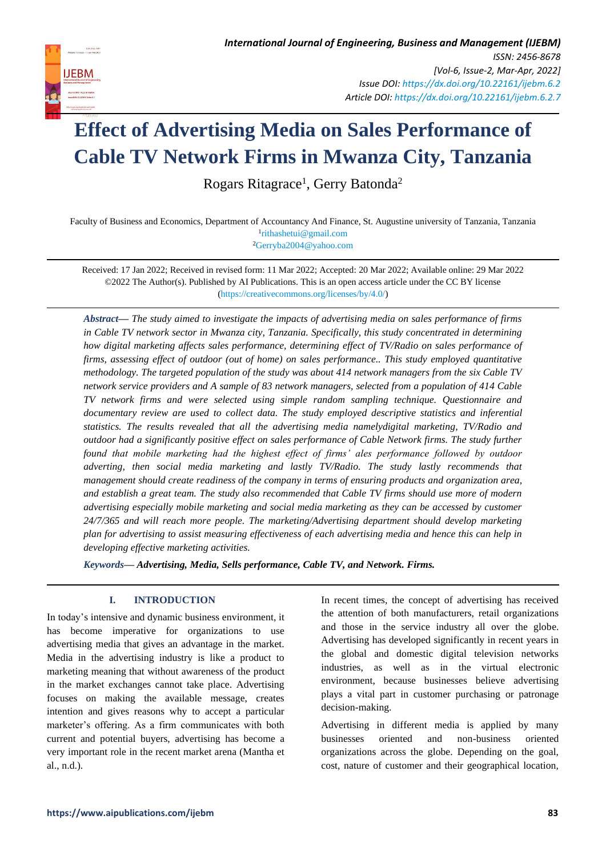

# **Effect of Advertising Media on Sales Performance of Cable TV Network Firms in Mwanza City, Tanzania**

Rogars Ritagrace<sup>1</sup>, Gerry Batonda<sup>2</sup>

Faculty of Business and Economics, Department of Accountancy And Finance, St. Augustine university of Tanzania, Tanzania 1 [rithashetui@gmail.com](mailto:rithashetui@gmail.com) <sup>2</sup>[Gerryba2004@yahoo.com](mailto:Gerryba2004@yahoo.com)

Received: 17 Jan 2022; Received in revised form: 11 Mar 2022; Accepted: 20 Mar 2022; Available online: 29 Mar 2022 ©2022 The Author(s). Published by AI Publications. This is an open access article under the CC BY license [\(https://creativecommons.org/licenses/by/4.0/\)](https://creativecommons.org/licenses/by/4.0/)

*Abstract— The study aimed to investigate the impacts of advertising media on sales performance of firms in Cable TV network sector in Mwanza city, Tanzania. Specifically, this study concentrated in determining how digital marketing affects sales performance, determining effect of TV/Radio on sales performance of firms, assessing effect of outdoor (out of home) on sales performance.. This study employed quantitative methodology. The targeted population of the study was about 414 network managers from the six Cable TV network service providers and A sample of 83 network managers, selected from a population of 414 Cable TV network firms and were selected using simple random sampling technique. Questionnaire and documentary review are used to collect data. The study employed descriptive statistics and inferential statistics. The results revealed that all the advertising media namelydigital marketing, TV/Radio and outdoor had a significantly positive effect on sales performance of Cable Network firms. The study further found that mobile marketing had the highest effect of firms' ales performance followed by outdoor adverting, then social media marketing and lastly TV/Radio. The study lastly recommends that management should create readiness of the company in terms of ensuring products and organization area, and establish a great team. The study also recommended that Cable TV firms should use more of modern advertising especially mobile marketing and social media marketing as they can be accessed by customer 24/7/365 and will reach more people. The marketing/Advertising department should develop marketing plan for advertising to assist measuring effectiveness of each advertising media and hence this can help in developing effective marketing activities.*

*Keywords— Advertising, Media, Sells performance, Cable TV, and Network. Firms.*

# **I. INTRODUCTION**

**IJEBM** 

In today's intensive and dynamic business environment, it has become imperative for organizations to use advertising media that gives an advantage in the market. Media in the advertising industry is like a product to marketing meaning that without awareness of the product in the market exchanges cannot take place. Advertising focuses on making the available message, creates intention and gives reasons why to accept a particular marketer's offering. As a firm communicates with both current and potential buyers, advertising has become a very important role in the recent market arena (Mantha et al., n.d.).

In recent times, the concept of advertising has received the attention of both manufacturers, retail organizations and those in the service industry all over the globe. Advertising has developed significantly in recent years in the global and domestic digital television networks industries, as well as in the virtual electronic environment, because businesses believe advertising plays a vital part in customer purchasing or patronage decision-making.

Advertising in different media is applied by many businesses oriented and non-business oriented organizations across the globe. Depending on the goal, cost, nature of customer and their geographical location,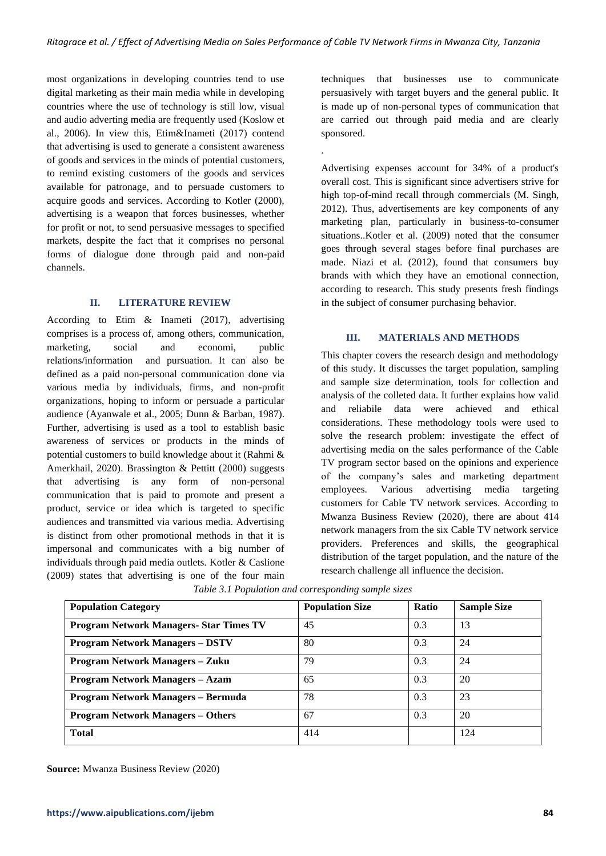.

most organizations in developing countries tend to use digital marketing as their main media while in developing countries where the use of technology is still low, visual and audio adverting media are frequently used (Koslow et al., 2006). In view this, Etim&Inameti (2017) contend that advertising is used to generate a consistent awareness of goods and services in the minds of potential customers, to remind existing customers of the goods and services available for patronage, and to persuade customers to acquire goods and services. According to Kotler (2000), advertising is a weapon that forces businesses, whether for profit or not, to send persuasive messages to specified markets, despite the fact that it comprises no personal forms of dialogue done through paid and non-paid channels.

## **II. LITERATURE REVIEW**

According to Etim & Inameti (2017), advertising comprises is a process of, among others, communication, marketing, social and economi, public relations/information and pursuation. It can also be defined as a paid non-personal communication done via various media by individuals, firms, and non-profit organizations, hoping to inform or persuade a particular audience (Ayanwale et al., 2005; Dunn & Barban, 1987). Further, advertising is used as a tool to establish basic awareness of services or products in the minds of potential customers to build knowledge about it (Rahmi & Amerkhail, 2020). Brassington & Pettitt (2000) suggests that advertising is any form of non-personal communication that is paid to promote and present a product, service or idea which is targeted to specific audiences and transmitted via various media. Advertising is distinct from other promotional methods in that it is impersonal and communicates with a big number of individuals through paid media outlets. Kotler & Caslione (2009) states that advertising is one of the four main techniques that businesses use to communicate persuasively with target buyers and the general public. It is made up of non-personal types of communication that are carried out through paid media and are clearly sponsored.

Advertising expenses account for 34% of a product's overall cost. This is significant since advertisers strive for high top-of-mind recall through commercials (M. Singh, 2012). Thus, advertisements are key components of any marketing plan, particularly in business-to-consumer situations..Kotler et al. (2009) noted that the consumer goes through several stages before final purchases are made. Niazi et al. (2012), found that consumers buy brands with which they have an emotional connection, according to research. This study presents fresh findings in the subject of consumer purchasing behavior.

#### **III. MATERIALS AND METHODS**

This chapter covers the research design and methodology of this study. It discusses the target population, sampling and sample size determination, tools for collection and analysis of the colleted data. It further explains how valid and reliabile data were achieved and ethical considerations. These methodology tools were used to solve the research problem: investigate the effect of advertising media on the sales performance of the Cable TV program sector based on the opinions and experience of the company's sales and marketing department employees. Various advertising media targeting customers for Cable TV network services. According to Mwanza Business Review (2020), there are about 414 network managers from the six Cable TV network service providers. Preferences and skills, the geographical distribution of the target population, and the nature of the research challenge all influence the decision.

| <b>Population Category</b>                     | <b>Population Size</b> | <b>Ratio</b> | <b>Sample Size</b> |
|------------------------------------------------|------------------------|--------------|--------------------|
| <b>Program Network Managers- Star Times TV</b> | 45                     | 0.3          | 13                 |
| <b>Program Network Managers - DSTV</b>         | 80                     | 0.3          | 24                 |
| <b>Program Network Managers - Zuku</b>         | 79                     | 0.3          | 24                 |
| <b>Program Network Managers - Azam</b>         | 65                     | 0.3          | 20                 |
| Program Network Managers - Bermuda             | 78                     | 0.3          | 23                 |
| <b>Program Network Managers - Others</b>       | 67                     | 0.3          | 20                 |
| <b>Total</b>                                   | 414                    |              | 124                |

*Table 3.1 Population and corresponding sample sizes*

**Source:** Mwanza Business Review (2020)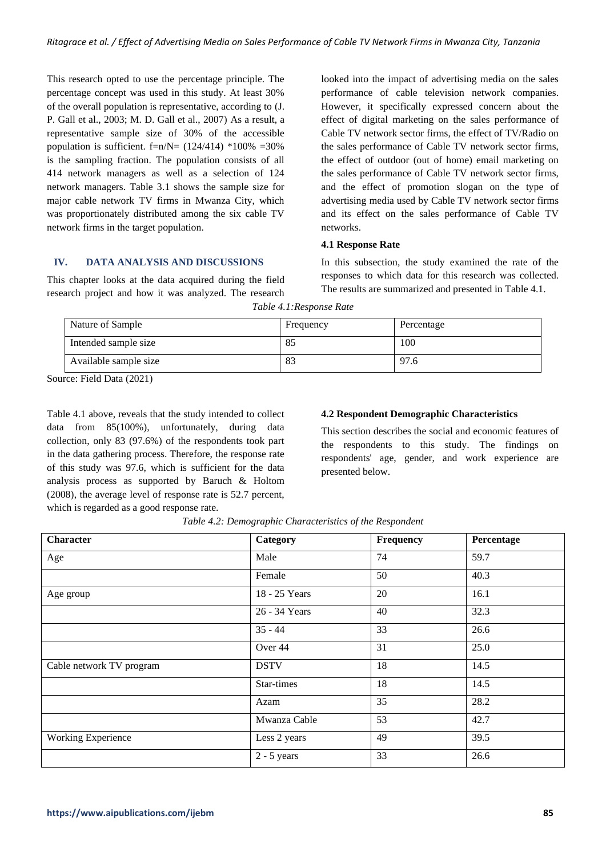This research opted to use the percentage principle. The percentage concept was used in this study. At least 30% of the overall population is representative, according to (J. P. Gall et al., 2003; M. D. Gall et al., 2007) As a result, a representative sample size of 30% of the accessible population is sufficient.  $f=n/N=$  (124/414) \*100% =30% is the sampling fraction. The population consists of all 414 network managers as well as a selection of 124 network managers. Table 3.1 shows the sample size for major cable network TV firms in Mwanza City, which was proportionately distributed among the six cable TV network firms in the target population.

looked into the impact of advertising media on the sales performance of cable television network companies. However, it specifically expressed concern about the effect of digital marketing on the sales performance of Cable TV network sector firms, the effect of TV/Radio on the sales performance of Cable TV network sector firms, the effect of outdoor (out of home) email marketing on the sales performance of Cable TV network sector firms, and the effect of promotion slogan on the type of advertising media used by Cable TV network sector firms and its effect on the sales performance of Cable TV networks.

#### **4.1 Response Rate**

## **IV. DATA ANALYSIS AND DISCUSSIONS**

This chapter looks at the data acquired during the field research project and how it was analyzed. The research

In this subsection, the study examined the rate of the responses to which data for this research was collected. The results are summarized and presented in Table 4.1.

| Nature of Sample      | Frequency | Percentage |
|-----------------------|-----------|------------|
| Intended sample size  | 85        | 100        |
| Available sample size | -83       | 97.6       |

*Table 4.1:Response Rate*

Source: Field Data (2021)

Table 4.1 above, reveals that the study intended to collect data from 85(100%), unfortunately, during data collection, only 83 (97.6%) of the respondents took part in the data gathering process. Therefore, the response rate of this study was 97.6, which is sufficient for the data analysis process as supported by Baruch & Holtom (2008), the average level of response rate is 52.7 percent, which is regarded as a good response rate.

#### **4.2 Respondent Demographic Characteristics**

This section describes the social and economic features of the respondents to this study. The findings on respondents' age, gender, and work experience are presented below.

| <b>Character</b>          | Category      | Frequency | Percentage |
|---------------------------|---------------|-----------|------------|
| Age                       | Male          | 74        | 59.7       |
|                           | Female        | 50        | 40.3       |
| Age group                 | 18 - 25 Years | 20        | 16.1       |
|                           | 26 - 34 Years |           | 32.3       |
|                           | $35 - 44$     | 33        | 26.6       |
|                           | Over 44       | 31        | 25.0       |
| Cable network TV program  | <b>DSTV</b>   | 18        | 14.5       |
|                           | Star-times    | 18        | 14.5       |
|                           | Azam          | 35        | 28.2       |
|                           | Mwanza Cable  | 53        | 42.7       |
| <b>Working Experience</b> | Less 2 years  | 49        | 39.5       |
|                           | $2 - 5$ years | 33        | 26.6       |

*Table 4.2: Demographic Characteristics of the Respondent*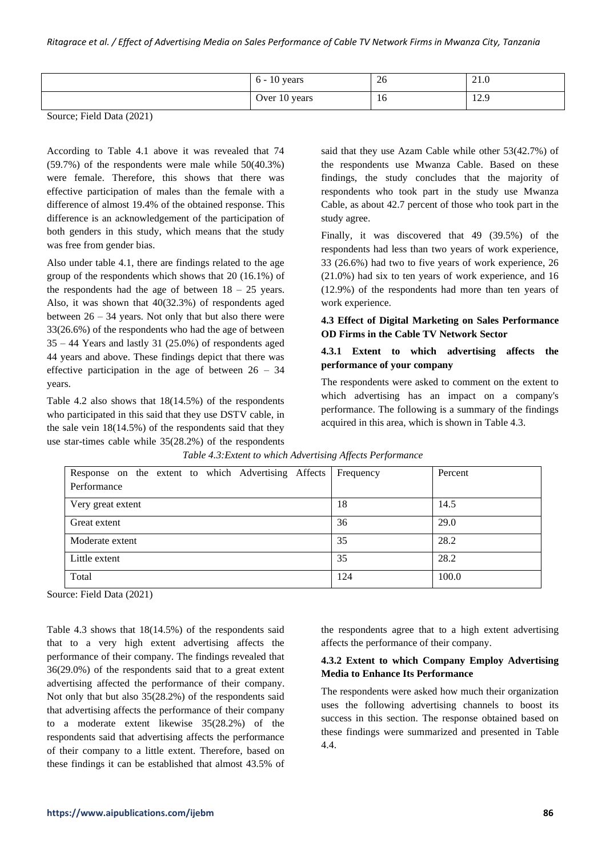| <sup>1</sup> years<br>$0 -$ | 26 | 21.0                |
|-----------------------------|----|---------------------|
| Over 10 years               | 16 | 120<br>14. <i>J</i> |

According to Table 4.1 above it was revealed that 74 (59.7%) of the respondents were male while 50(40.3%) were female. Therefore, this shows that there was effective participation of males than the female with a difference of almost 19.4% of the obtained response. This difference is an acknowledgement of the participation of both genders in this study, which means that the study was free from gender bias.

Also under table 4.1, there are findings related to the age group of the respondents which shows that 20 (16.1%) of the respondents had the age of between  $18 - 25$  years. Also, it was shown that 40(32.3%) of respondents aged between  $26 - 34$  years. Not only that but also there were 33(26.6%) of the respondents who had the age of between  $35 - 44$  Years and lastly 31 (25.0%) of respondents aged 44 years and above. These findings depict that there was effective participation in the age of between  $26 - 34$ years.

Table 4.2 also shows that 18(14.5%) of the respondents who participated in this said that they use DSTV cable, in the sale vein 18(14.5%) of the respondents said that they use star-times cable while 35(28.2%) of the respondents said that they use Azam Cable while other 53(42.7%) of the respondents use Mwanza Cable. Based on these findings, the study concludes that the majority of respondents who took part in the study use Mwanza Cable, as about 42.7 percent of those who took part in the study agree.

Finally, it was discovered that 49 (39.5%) of the respondents had less than two years of work experience, 33 (26.6%) had two to five years of work experience, 26 (21.0%) had six to ten years of work experience, and 16 (12.9%) of the respondents had more than ten years of work experience.

# **4.3 Effect of Digital Marketing on Sales Performance OD Firms in the Cable TV Network Sector**

# **4.3.1 Extent to which advertising affects the performance of your company**

The respondents were asked to comment on the extent to which advertising has an impact on a company's performance. The following is a summary of the findings acquired in this area, which is shown in Table 4.3.

| Response on the extent to which Advertising Affects | Frequency | Percent |
|-----------------------------------------------------|-----------|---------|
| Performance                                         |           |         |
| Very great extent                                   | 18        | 14.5    |
| Great extent                                        | 36        | 29.0    |
| Moderate extent                                     | 35        | 28.2    |
| Little extent                                       | 35        | 28.2    |
| Total                                               | 124       | 100.0   |

*Table 4.3:Extent to which Advertising Affects Performance*

Source: Field Data (2021)

Table 4.3 shows that 18(14.5%) of the respondents said that to a very high extent advertising affects the performance of their company. The findings revealed that 36(29.0%) of the respondents said that to a great extent advertising affected the performance of their company. Not only that but also 35(28.2%) of the respondents said that advertising affects the performance of their company to a moderate extent likewise 35(28.2%) of the respondents said that advertising affects the performance of their company to a little extent. Therefore, based on these findings it can be established that almost 43.5% of the respondents agree that to a high extent advertising affects the performance of their company.

## **4.3.2 Extent to which Company Employ Advertising Media to Enhance Its Performance**

The respondents were asked how much their organization uses the following advertising channels to boost its success in this section. The response obtained based on these findings were summarized and presented in Table 4.4.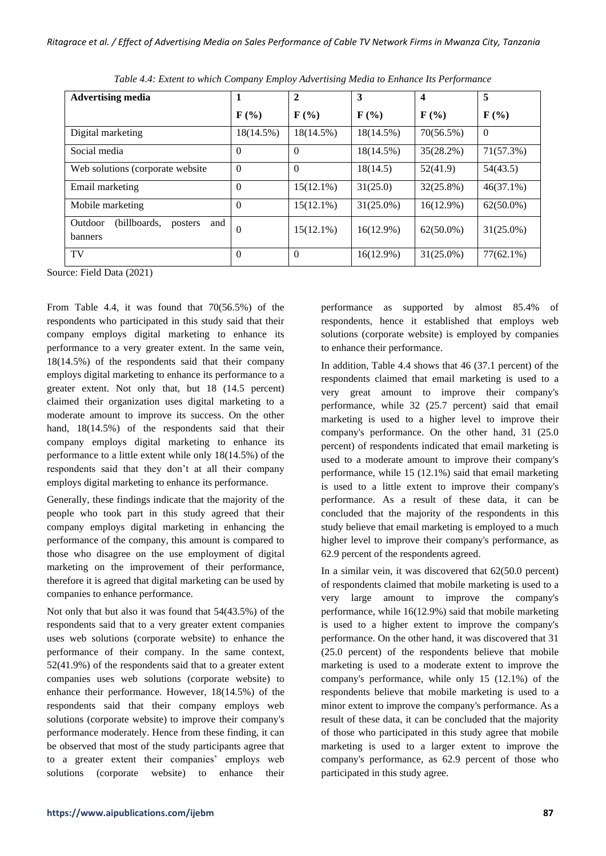| <b>Advertising media</b>                                    |                             | $\overline{2}$              | 3                           | $\overline{\mathbf{4}}$     | 5                           |
|-------------------------------------------------------------|-----------------------------|-----------------------------|-----------------------------|-----------------------------|-----------------------------|
|                                                             | $\mathbf{F}(\mathcal{V}_0)$ | $\mathbf{F}(\mathcal{V}_0)$ | $\mathbf{F}(\mathcal{V}_0)$ | $\mathbf{F}(\mathcal{V}_0)$ | $\mathbf{F}(\mathcal{V}_0)$ |
| Digital marketing                                           | 18(14.5%)                   | $18(14.5\%)$                | $18(14.5\%)$                | 70(56.5%)                   | $\overline{0}$              |
| Social media                                                | $\Omega$                    | $\Omega$                    | 18(14.5%)                   | $35(28.2\%)$                | 71(57.3%)                   |
| Web solutions (corporate website)                           | $\Omega$                    | $\theta$                    | 18(14.5)                    | 52(41.9)                    | 54(43.5)                    |
| Email marketing                                             | $\Omega$                    | $15(12.1\%)$                | 31(25.0)                    | $32(25.8\%)$                | $46(37.1\%)$                |
| Mobile marketing                                            | $\Omega$                    | $15(12.1\%)$                | $31(25.0\%)$                | $16(12.9\%)$                | $62(50.0\%)$                |
| (billboards,<br>Outdoor<br>and<br>posters<br><b>banners</b> | $\Omega$                    | $15(12.1\%)$                | $16(12.9\%)$                | $62(50.0\%)$                | $31(25.0\%)$                |
| TV                                                          | $\Omega$                    | $\theta$                    | $16(12.9\%)$                | $31(25.0\%)$                | $77(62.1\%)$                |

*Table 4.4: Extent to which Company Employ Advertising Media to Enhance Its Performance*

From Table 4.4, it was found that 70(56.5%) of the respondents who participated in this study said that their company employs digital marketing to enhance its performance to a very greater extent. In the same vein, 18(14.5%) of the respondents said that their company employs digital marketing to enhance its performance to a greater extent. Not only that, but 18 (14.5 percent) claimed their organization uses digital marketing to a moderate amount to improve its success. On the other hand, 18(14.5%) of the respondents said that their company employs digital marketing to enhance its performance to a little extent while only 18(14.5%) of the respondents said that they don't at all their company employs digital marketing to enhance its performance.

Generally, these findings indicate that the majority of the people who took part in this study agreed that their company employs digital marketing in enhancing the performance of the company, this amount is compared to those who disagree on the use employment of digital marketing on the improvement of their performance, therefore it is agreed that digital marketing can be used by companies to enhance performance.

Not only that but also it was found that 54(43.5%) of the respondents said that to a very greater extent companies uses web solutions (corporate website) to enhance the performance of their company. In the same context, 52(41.9%) of the respondents said that to a greater extent companies uses web solutions (corporate website) to enhance their performance. However, 18(14.5%) of the respondents said that their company employs web solutions (corporate website) to improve their company's performance moderately. Hence from these finding, it can be observed that most of the study participants agree that to a greater extent their companies' employs web solutions (corporate website) to enhance their performance as supported by almost 85.4% of respondents, hence it established that employs web solutions (corporate website) is employed by companies to enhance their performance.

In addition, Table 4.4 shows that 46 (37.1 percent) of the respondents claimed that email marketing is used to a very great amount to improve their company's performance, while 32 (25.7 percent) said that email marketing is used to a higher level to improve their company's performance. On the other hand, 31 (25.0 percent) of respondents indicated that email marketing is used to a moderate amount to improve their company's performance, while 15 (12.1%) said that email marketing is used to a little extent to improve their company's performance. As a result of these data, it can be concluded that the majority of the respondents in this study believe that email marketing is employed to a much higher level to improve their company's performance, as 62.9 percent of the respondents agreed.

In a similar vein, it was discovered that 62(50.0 percent) of respondents claimed that mobile marketing is used to a very large amount to improve the company's performance, while 16(12.9%) said that mobile marketing is used to a higher extent to improve the company's performance. On the other hand, it was discovered that 31 (25.0 percent) of the respondents believe that mobile marketing is used to a moderate extent to improve the company's performance, while only 15 (12.1%) of the respondents believe that mobile marketing is used to a minor extent to improve the company's performance. As a result of these data, it can be concluded that the majority of those who participated in this study agree that mobile marketing is used to a larger extent to improve the company's performance, as 62.9 percent of those who participated in this study agree.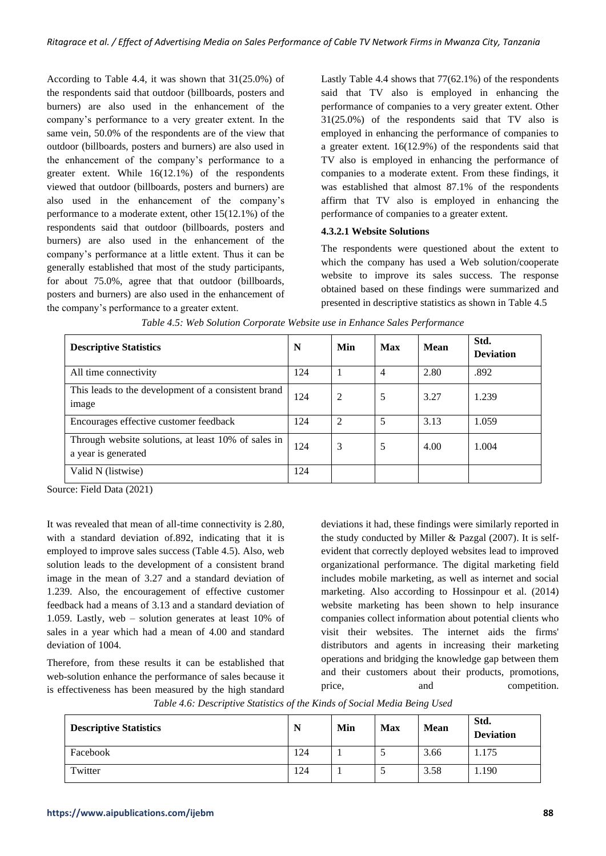According to Table 4.4, it was shown that 31(25.0%) of the respondents said that outdoor (billboards, posters and burners) are also used in the enhancement of the company's performance to a very greater extent. In the same vein, 50.0% of the respondents are of the view that outdoor (billboards, posters and burners) are also used in the enhancement of the company's performance to a greater extent. While 16(12.1%) of the respondents viewed that outdoor (billboards, posters and burners) are also used in the enhancement of the company's performance to a moderate extent, other 15(12.1%) of the respondents said that outdoor (billboards, posters and burners) are also used in the enhancement of the company's performance at a little extent. Thus it can be generally established that most of the study participants, for about 75.0%, agree that that outdoor (billboards, posters and burners) are also used in the enhancement of the company's performance to a greater extent.

Lastly Table 4.4 shows that 77(62.1%) of the respondents said that TV also is employed in enhancing the performance of companies to a very greater extent. Other 31(25.0%) of the respondents said that TV also is employed in enhancing the performance of companies to a greater extent. 16(12.9%) of the respondents said that TV also is employed in enhancing the performance of companies to a moderate extent. From these findings, it was established that almost 87.1% of the respondents affirm that TV also is employed in enhancing the performance of companies to a greater extent.

# **4.3.2.1 Website Solutions**

The respondents were questioned about the extent to which the company has used a Web solution/cooperate website to improve its sales success. The response obtained based on these findings were summarized and presented in descriptive statistics as shown in Table 4.5

| <b>Descriptive Statistics</b>                                              | N   | Min | Max | Mean | Std.<br><b>Deviation</b> |
|----------------------------------------------------------------------------|-----|-----|-----|------|--------------------------|
| All time connectivity                                                      | 124 |     | 4   | 2.80 | .892                     |
| This leads to the development of a consistent brand<br>image               | 124 | 2   | 5   | 3.27 | 1.239                    |
| Encourages effective customer feedback                                     | 124 | 2   | 5   | 3.13 | 1.059                    |
| Through website solutions, at least 10% of sales in<br>a year is generated | 124 | 3   | 5   | 4.00 | 1.004                    |
| Valid N (listwise)                                                         | 124 |     |     |      |                          |

| Table 4.5: Web Solution Corporate Website use in Enhance Sales Performance |  |  |
|----------------------------------------------------------------------------|--|--|
|----------------------------------------------------------------------------|--|--|

Source: Field Data (2021)

It was revealed that mean of all-time connectivity is 2.80, with a standard deviation of.892, indicating that it is employed to improve sales success (Table 4.5). Also, web solution leads to the development of a consistent brand image in the mean of 3.27 and a standard deviation of 1.239. Also, the encouragement of effective customer feedback had a means of 3.13 and a standard deviation of 1.059. Lastly, web – solution generates at least 10% of sales in a year which had a mean of 4.00 and standard deviation of 1004.

Therefore, from these results it can be established that web-solution enhance the performance of sales because it is effectiveness has been measured by the high standard

deviations it had, these findings were similarly reported in the study conducted by Miller & Pazgal (2007). It is selfevident that correctly deployed websites lead to improved organizational performance. The digital marketing field includes mobile marketing, as well as internet and social marketing. Also according to Hossinpour et al. (2014) website marketing has been shown to help insurance companies collect information about potential clients who visit their websites. The internet aids the firms' distributors and agents in increasing their marketing operations and bridging the knowledge gap between them and their customers about their products, promotions, price, and competition.

| Table 4.6: Descriptive Statistics of the Kinds of Social Media Being Used |  |  |  |  |
|---------------------------------------------------------------------------|--|--|--|--|
|---------------------------------------------------------------------------|--|--|--|--|

| <b>Descriptive Statistics</b> | N   | Min | <b>Max</b> | <b>Mean</b> | Std.<br><b>Deviation</b> |
|-------------------------------|-----|-----|------------|-------------|--------------------------|
| Facebook                      | 124 |     |            | 3.66        | . 175                    |
| Twitter                       | 124 |     |            | 3.58        | .190                     |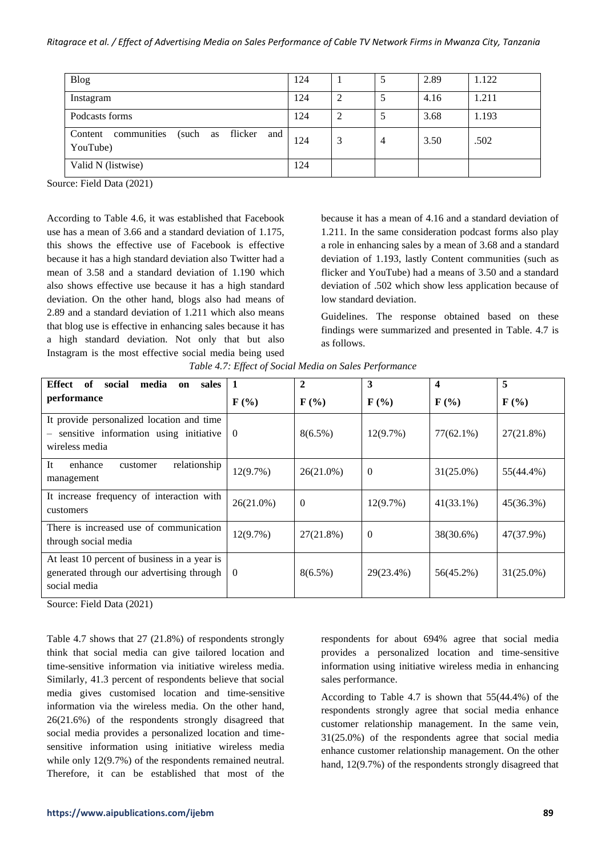| <b>Blog</b>                                                         | 124 |   |   | 2.89 | 1.122 |
|---------------------------------------------------------------------|-----|---|---|------|-------|
| Instagram                                                           | 124 | 2 |   | 4.16 | 1.211 |
| Podcasts forms                                                      | 124 | 2 |   | 3.68 | 1.193 |
| communities<br>flicker<br>and<br>(such<br>Content<br>as<br>YouTube) | 124 | 3 | 4 | 3.50 | .502  |
| Valid N (listwise)                                                  | 124 |   |   |      |       |

According to Table 4.6, it was established that Facebook use has a mean of 3.66 and a standard deviation of 1.175, this shows the effective use of Facebook is effective because it has a high standard deviation also Twitter had a mean of 3.58 and a standard deviation of 1.190 which also shows effective use because it has a high standard deviation. On the other hand, blogs also had means of 2.89 and a standard deviation of 1.211 which also means that blog use is effective in enhancing sales because it has a high standard deviation. Not only that but also Instagram is the most effective social media being used

because it has a mean of 4.16 and a standard deviation of 1.211. In the same consideration podcast forms also play a role in enhancing sales by a mean of 3.68 and a standard deviation of 1.193, lastly Content communities (such as flicker and YouTube) had a means of 3.50 and a standard deviation of .502 which show less application because of low standard deviation.

Guidelines. The response obtained based on these findings were summarized and presented in Table. 4.7 is as follows.

| Effect<br>of<br>social<br>media<br>sales<br>on                                                            | 1                           | 2                           | 3                           | $\overline{\mathbf{4}}$     | 5                           |
|-----------------------------------------------------------------------------------------------------------|-----------------------------|-----------------------------|-----------------------------|-----------------------------|-----------------------------|
| performance                                                                                               | $\mathbf{F}(\mathcal{V}_0)$ | $\mathbf{F}(\mathcal{V}_0)$ | $\mathbf{F}(\mathcal{V}_0)$ | $\mathbf{F}(\mathcal{V}_0)$ | $\mathbf{F}(\mathcal{V}_0)$ |
| It provide personalized location and time<br>sensitive information using initiative<br>wireless media     | $\theta$                    | $8(6.5\%)$                  | 12(9.7%)                    | $77(62.1\%)$                | 27(21.8%)                   |
| <b>It</b><br>relationship<br>enhance<br>customer<br>management                                            | 12(9.7%)                    | 26(21.0%)                   | $\Omega$                    | $31(25.0\%)$                | 55(44.4%)                   |
| It increase frequency of interaction with<br>customers                                                    | $26(21.0\%)$                | $\mathbf{0}$                | 12(9.7%)                    | $41(33.1\%)$                | $45(36.3\%)$                |
| There is increased use of communication<br>through social media                                           | 12(9.7%)                    | $27(21.8\%)$                | $\Omega$                    | 38(30.6%)                   | 47(37.9%)                   |
| At least 10 percent of business in a year is<br>generated through our advertising through<br>social media | $\theta$                    | $8(6.5\%)$                  | 29(23.4%)                   | 56(45.2%)                   | $31(25.0\%)$                |

*Table 4.7: Effect of Social Media on Sales Performance*

Source: Field Data (2021)

Table 4.7 shows that 27 (21.8%) of respondents strongly think that social media can give tailored location and time-sensitive information via initiative wireless media. Similarly, 41.3 percent of respondents believe that social media gives customised location and time-sensitive information via the wireless media. On the other hand, 26(21.6%) of the respondents strongly disagreed that social media provides a personalized location and timesensitive information using initiative wireless media while only 12(9.7%) of the respondents remained neutral. Therefore, it can be established that most of the

respondents for about 694% agree that social media provides a personalized location and time-sensitive information using initiative wireless media in enhancing sales performance.

According to Table 4.7 is shown that 55(44.4%) of the respondents strongly agree that social media enhance customer relationship management. In the same vein, 31(25.0%) of the respondents agree that social media enhance customer relationship management. On the other hand, 12(9.7%) of the respondents strongly disagreed that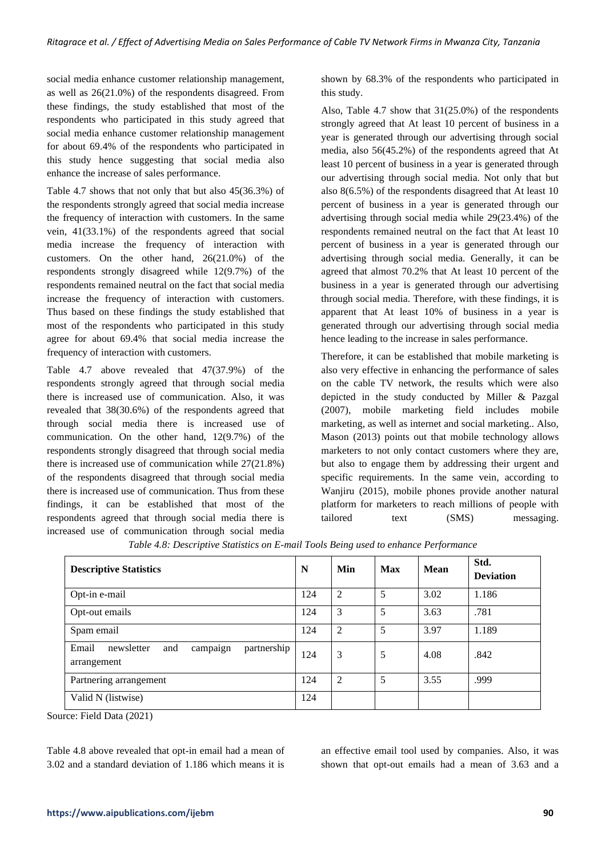social media enhance customer relationship management, as well as 26(21.0%) of the respondents disagreed. From these findings, the study established that most of the respondents who participated in this study agreed that social media enhance customer relationship management for about 69.4% of the respondents who participated in this study hence suggesting that social media also enhance the increase of sales performance.

Table 4.7 shows that not only that but also 45(36.3%) of the respondents strongly agreed that social media increase the frequency of interaction with customers. In the same vein, 41(33.1%) of the respondents agreed that social media increase the frequency of interaction with customers. On the other hand, 26(21.0%) of the respondents strongly disagreed while 12(9.7%) of the respondents remained neutral on the fact that social media increase the frequency of interaction with customers. Thus based on these findings the study established that most of the respondents who participated in this study agree for about 69.4% that social media increase the frequency of interaction with customers.

Table 4.7 above revealed that 47(37.9%) of the respondents strongly agreed that through social media there is increased use of communication. Also, it was revealed that 38(30.6%) of the respondents agreed that through social media there is increased use of communication. On the other hand, 12(9.7%) of the respondents strongly disagreed that through social media there is increased use of communication while 27(21.8%) of the respondents disagreed that through social media there is increased use of communication. Thus from these findings, it can be established that most of the respondents agreed that through social media there is increased use of communication through social media shown by 68.3% of the respondents who participated in this study.

Also, Table 4.7 show that 31(25.0%) of the respondents strongly agreed that At least 10 percent of business in a year is generated through our advertising through social media, also 56(45.2%) of the respondents agreed that At least 10 percent of business in a year is generated through our advertising through social media. Not only that but also 8(6.5%) of the respondents disagreed that At least 10 percent of business in a year is generated through our advertising through social media while 29(23.4%) of the respondents remained neutral on the fact that At least 10 percent of business in a year is generated through our advertising through social media. Generally, it can be agreed that almost 70.2% that At least 10 percent of the business in a year is generated through our advertising through social media. Therefore, with these findings, it is apparent that At least 10% of business in a year is generated through our advertising through social media hence leading to the increase in sales performance.

Therefore, it can be established that mobile marketing is also very effective in enhancing the performance of sales on the cable TV network, the results which were also depicted in the study conducted by Miller & Pazgal (2007), mobile marketing field includes mobile marketing, as well as internet and social marketing.. Also, Mason (2013) points out that mobile technology allows marketers to not only contact customers where they are, but also to engage them by addressing their urgent and specific requirements. In the same vein, according to Wanjiru (2015), mobile phones provide another natural platform for marketers to reach millions of people with tailored text (SMS) messaging.

| <b>Descriptive Statistics</b>                                        |     | Min            | <b>Max</b> | Mean | Std.<br><b>Deviation</b> |
|----------------------------------------------------------------------|-----|----------------|------------|------|--------------------------|
| Opt-in e-mail                                                        | 124 | $\overline{2}$ | 5          | 3.02 | 1.186                    |
| Opt-out emails                                                       | 124 | 3              | 5          | 3.63 | .781                     |
| Spam email                                                           | 124 | $\overline{2}$ | 5          | 3.97 | 1.189                    |
| Email<br>newsletter<br>partnership<br>and<br>campaign<br>arrangement | 124 | 3              | 5          | 4.08 | .842                     |
| Partnering arrangement                                               | 124 | $\overline{2}$ | 5          | 3.55 | .999                     |
| Valid N (listwise)                                                   | 124 |                |            |      |                          |

*Table 4.8: Descriptive Statistics on E-mail Tools Being used to enhance Performance*

Source: Field Data (2021)

Table 4.8 above revealed that opt-in email had a mean of 3.02 and a standard deviation of 1.186 which means it is an effective email tool used by companies. Also, it was shown that opt-out emails had a mean of 3.63 and a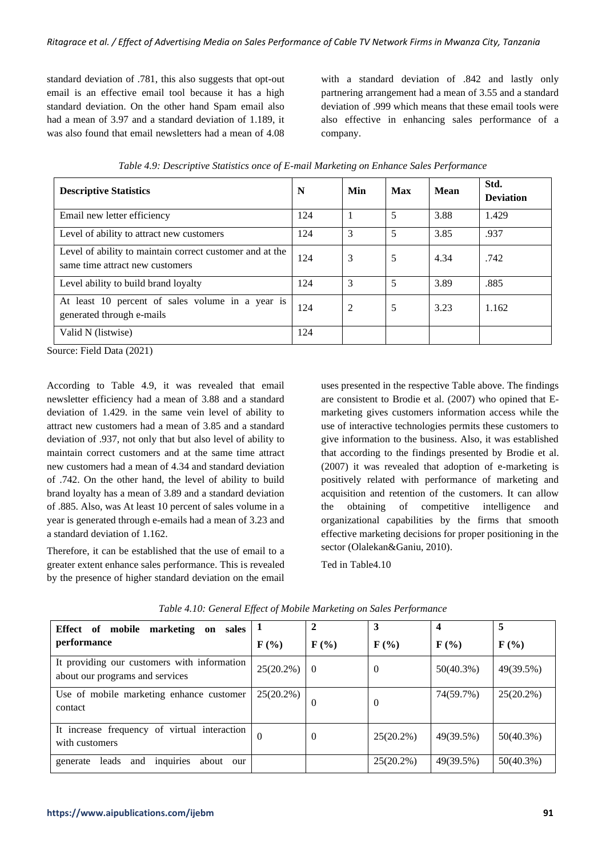standard deviation of .781, this also suggests that opt-out email is an effective email tool because it has a high standard deviation. On the other hand Spam email also had a mean of 3.97 and a standard deviation of 1.189, it was also found that email newsletters had a mean of 4.08

with a standard deviation of .842 and lastly only partnering arrangement had a mean of 3.55 and a standard deviation of .999 which means that these email tools were also effective in enhancing sales performance of a company.

| <b>Descriptive Statistics</b>                                                               | N   | Min            | Max | Mean | Std.<br><b>Deviation</b> |
|---------------------------------------------------------------------------------------------|-----|----------------|-----|------|--------------------------|
| Email new letter efficiency                                                                 | 124 |                | 5   | 3.88 | 1.429                    |
| Level of ability to attract new customers                                                   | 124 | 3              | 5   | 3.85 | .937                     |
| Level of ability to maintain correct customer and at the<br>same time attract new customers | 124 | 3              | 5   | 4.34 | .742                     |
| Level ability to build brand loyalty                                                        | 124 | 3              | 5   | 3.89 | .885                     |
| At least 10 percent of sales volume in a year is<br>generated through e-mails               | 124 | $\overline{2}$ | 5   | 3.23 | 1.162                    |
| Valid N (listwise)                                                                          | 124 |                |     |      |                          |

*Table 4.9: Descriptive Statistics once of E-mail Marketing on Enhance Sales Performance*

Source: Field Data (2021)

According to Table 4.9, it was revealed that email newsletter efficiency had a mean of 3.88 and a standard deviation of 1.429. in the same vein level of ability to attract new customers had a mean of 3.85 and a standard deviation of .937, not only that but also level of ability to maintain correct customers and at the same time attract new customers had a mean of 4.34 and standard deviation of .742. On the other hand, the level of ability to build brand loyalty has a mean of 3.89 and a standard deviation of .885. Also, was At least 10 percent of sales volume in a year is generated through e-emails had a mean of 3.23 and a standard deviation of 1.162.

Therefore, it can be established that the use of email to a greater extent enhance sales performance. This is revealed by the presence of higher standard deviation on the email

uses presented in the respective Table above. The findings are consistent to Brodie et al. (2007) who opined that Emarketing gives customers information access while the use of interactive technologies permits these customers to give information to the business. Also, it was established that according to the findings presented by Brodie et al. (2007) it was revealed that adoption of e-marketing is positively related with performance of marketing and acquisition and retention of the customers. It can allow the obtaining of competitive intelligence and organizational capabilities by the firms that smooth effective marketing decisions for proper positioning in the sector (Olalekan&Ganiu, 2010).

Ted in Table4.10

| marketing<br>Effect of<br>mobile<br>on sales<br>performance                    | $\mathbf{F}$ (%) | $\mathbf{F}(\mathcal{V}_0)$ | 3<br>$\mathbf{F}(\mathcal{C})$ | 4<br>$\mathbf{F}(\mathcal{V}_0)$ | 5<br>$\mathbf{F}$ (%) |
|--------------------------------------------------------------------------------|------------------|-----------------------------|--------------------------------|----------------------------------|-----------------------|
| It providing our customers with information<br>about our programs and services | $25(20.2\%)$     | $\theta$                    | $\theta$                       | $50(40.3\%)$                     | 49(39.5%)             |
| Use of mobile marketing enhance customer<br>contact                            | $25(20.2\%)$     | $\Omega$                    | $\theta$                       | 74(59.7%)                        | $25(20.2\%)$          |
| It increase frequency of virtual interaction<br>with customers                 | $\Omega$         | $\theta$                    | $25(20.2\%)$                   | 49(39.5%)                        | $50(40.3\%)$          |
| inquiries<br>leads<br>about<br>and<br>generate<br>our                          |                  |                             | $25(20.2\%)$                   | 49(39.5%)                        | $50(40.3\%)$          |

*Table 4.10: General Effect of Mobile Marketing on Sales Performance*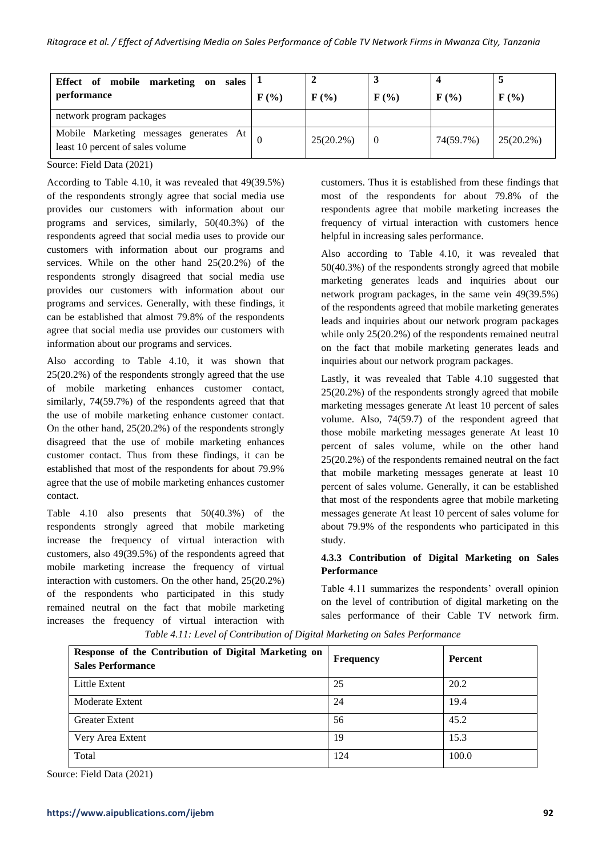| Effect of mobile marketing on sales $  \cdot  $<br>performance             | $\mathbf{F}(\mathcal{V}_0)$ | $F(\%)$      | $\mathbf{F}(\mathcal{V}_0)$ | $\mathbf{F}(\mathcal{V}_0)$ | $\mathbf{F}(\mathcal{V}_0)$ |
|----------------------------------------------------------------------------|-----------------------------|--------------|-----------------------------|-----------------------------|-----------------------------|
| network program packages                                                   |                             |              |                             |                             |                             |
| Mobile Marketing messages generates At<br>least 10 percent of sales volume |                             | $25(20.2\%)$ | $\overline{0}$              | 74(59.7%)                   | $25(20.2\%)$                |

According to Table 4.10, it was revealed that 49(39.5%) of the respondents strongly agree that social media use provides our customers with information about our programs and services, similarly, 50(40.3%) of the respondents agreed that social media uses to provide our customers with information about our programs and services. While on the other hand 25(20.2%) of the respondents strongly disagreed that social media use provides our customers with information about our programs and services. Generally, with these findings, it can be established that almost 79.8% of the respondents agree that social media use provides our customers with information about our programs and services.

Also according to Table 4.10, it was shown that 25(20.2%) of the respondents strongly agreed that the use of mobile marketing enhances customer contact, similarly, 74(59.7%) of the respondents agreed that that the use of mobile marketing enhance customer contact. On the other hand, 25(20.2%) of the respondents strongly disagreed that the use of mobile marketing enhances customer contact. Thus from these findings, it can be established that most of the respondents for about 79.9% agree that the use of mobile marketing enhances customer contact.

Table 4.10 also presents that 50(40.3%) of the respondents strongly agreed that mobile marketing increase the frequency of virtual interaction with customers, also 49(39.5%) of the respondents agreed that mobile marketing increase the frequency of virtual interaction with customers. On the other hand, 25(20.2%) of the respondents who participated in this study remained neutral on the fact that mobile marketing increases the frequency of virtual interaction with customers. Thus it is established from these findings that most of the respondents for about 79.8% of the respondents agree that mobile marketing increases the frequency of virtual interaction with customers hence helpful in increasing sales performance.

Also according to Table 4.10, it was revealed that 50(40.3%) of the respondents strongly agreed that mobile marketing generates leads and inquiries about our network program packages, in the same vein 49(39.5%) of the respondents agreed that mobile marketing generates leads and inquiries about our network program packages while only 25(20.2%) of the respondents remained neutral on the fact that mobile marketing generates leads and inquiries about our network program packages.

Lastly, it was revealed that Table 4.10 suggested that 25(20.2%) of the respondents strongly agreed that mobile marketing messages generate At least 10 percent of sales volume. Also, 74(59.7) of the respondent agreed that those mobile marketing messages generate At least 10 percent of sales volume, while on the other hand 25(20.2%) of the respondents remained neutral on the fact that mobile marketing messages generate at least 10 percent of sales volume. Generally, it can be established that most of the respondents agree that mobile marketing messages generate At least 10 percent of sales volume for about 79.9% of the respondents who participated in this study.

# **4.3.3 Contribution of Digital Marketing on Sales Performance**

Table 4.11 summarizes the respondents' overall opinion on the level of contribution of digital marketing on the sales performance of their Cable TV network firm.

| Response of the Contribution of Digital Marketing on<br><b>Sales Performance</b> | <b>Frequency</b> | Percent |
|----------------------------------------------------------------------------------|------------------|---------|
| Little Extent                                                                    | 25               | 20.2    |
| Moderate Extent                                                                  | 24               | 19.4    |
| <b>Greater Extent</b>                                                            | 56               | 45.2    |
| Very Area Extent                                                                 | 19               | 15.3    |
| Total                                                                            | 124              | 100.0   |

*Table 4.11: Level of Contribution of Digital Marketing on Sales Performance*

Source: Field Data (2021)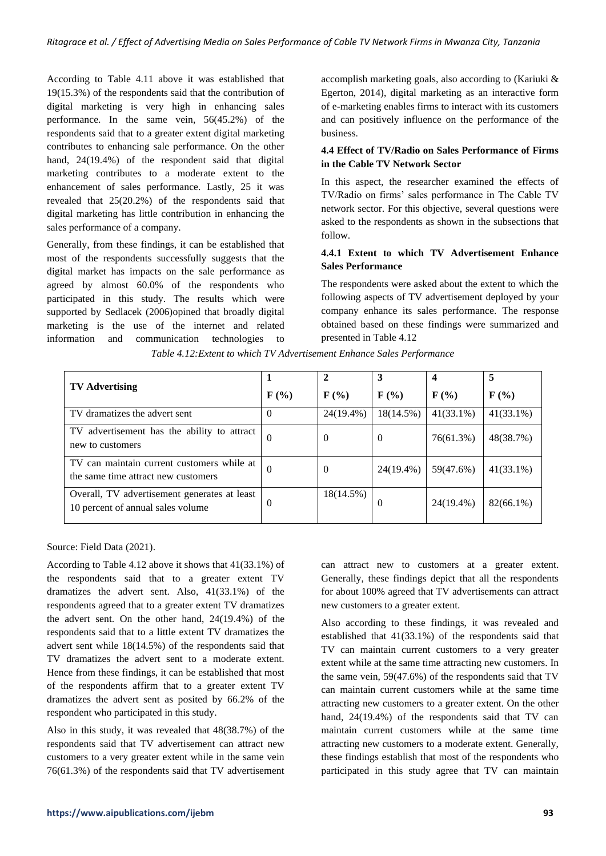According to Table 4.11 above it was established that 19(15.3%) of the respondents said that the contribution of digital marketing is very high in enhancing sales performance. In the same vein, 56(45.2%) of the respondents said that to a greater extent digital marketing contributes to enhancing sale performance. On the other hand, 24(19.4%) of the respondent said that digital marketing contributes to a moderate extent to the enhancement of sales performance. Lastly, 25 it was revealed that 25(20.2%) of the respondents said that digital marketing has little contribution in enhancing the sales performance of a company.

Generally, from these findings, it can be established that most of the respondents successfully suggests that the digital market has impacts on the sale performance as agreed by almost 60.0% of the respondents who participated in this study. The results which were supported by Sedlacek (2006)opined that broadly digital marketing is the use of the internet and related information and communication technologies to accomplish marketing goals, also according to (Kariuki & Egerton, 2014), digital marketing as an interactive form of e-marketing enables firms to interact with its customers and can positively influence on the performance of the business.

# **4.4 Effect of TV/Radio on Sales Performance of Firms in the Cable TV Network Sector**

In this aspect, the researcher examined the effects of TV/Radio on firms' sales performance in The Cable TV network sector. For this objective, several questions were asked to the respondents as shown in the subsections that follow.

# **4.4.1 Extent to which TV Advertisement Enhance Sales Performance**

The respondents were asked about the extent to which the following aspects of TV advertisement deployed by your company enhance its sales performance. The response obtained based on these findings were summarized and presented in Table 4.12

|                                                                                   |          |                             | 3                           | 4                         | 5                           |
|-----------------------------------------------------------------------------------|----------|-----------------------------|-----------------------------|---------------------------|-----------------------------|
| <b>TV Advertising</b>                                                             | $F(\%)$  | $\mathbf{F}(\mathcal{V}_0)$ | $\mathbf{F}(\mathcal{V}_0)$ | $\mathbf{F}(\mathcal{C})$ | $\mathbf{F}(\mathcal{V}_0)$ |
| TV dramatizes the advert sent                                                     | $\Omega$ | 24(19.4%)                   | 18(14.5%)                   | $41(33.1\%)$              | $41(33.1\%)$                |
| TV advertisement has the ability to attract<br>new to customers                   | $\Omega$ | O                           | $\Omega$                    | 76(61.3%)                 | 48(38.7%)                   |
| TV can maintain current customers while at<br>the same time attract new customers | 0        | $\theta$                    | 24(19.4%)                   | 59(47.6%)                 | $41(33.1\%)$                |
| Overall, TV advertisement generates at least<br>10 percent of annual sales volume | $\Omega$ | 18(14.5%)                   | $\theta$                    | 24(19.4%)                 | 82(66.1%)                   |

*Table 4.12:Extent to which TV Advertisement Enhance Sales Performance*

Source: Field Data (2021).

According to Table 4.12 above it shows that 41(33.1%) of the respondents said that to a greater extent TV dramatizes the advert sent. Also, 41(33.1%) of the respondents agreed that to a greater extent TV dramatizes the advert sent. On the other hand, 24(19.4%) of the respondents said that to a little extent TV dramatizes the advert sent while 18(14.5%) of the respondents said that TV dramatizes the advert sent to a moderate extent. Hence from these findings, it can be established that most of the respondents affirm that to a greater extent TV dramatizes the advert sent as posited by 66.2% of the respondent who participated in this study.

Also in this study, it was revealed that 48(38.7%) of the respondents said that TV advertisement can attract new customers to a very greater extent while in the same vein 76(61.3%) of the respondents said that TV advertisement

can attract new to customers at a greater extent. Generally, these findings depict that all the respondents for about 100% agreed that TV advertisements can attract new customers to a greater extent.

Also according to these findings, it was revealed and established that 41(33.1%) of the respondents said that TV can maintain current customers to a very greater extent while at the same time attracting new customers. In the same vein, 59(47.6%) of the respondents said that TV can maintain current customers while at the same time attracting new customers to a greater extent. On the other hand, 24(19.4%) of the respondents said that TV can maintain current customers while at the same time attracting new customers to a moderate extent. Generally, these findings establish that most of the respondents who participated in this study agree that TV can maintain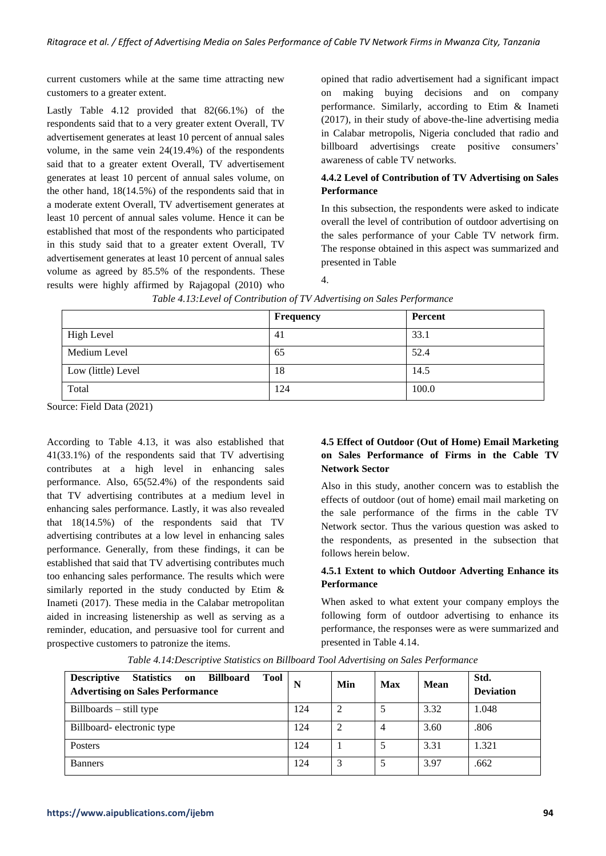current customers while at the same time attracting new customers to a greater extent.

Lastly Table 4.12 provided that 82(66.1%) of the respondents said that to a very greater extent Overall, TV advertisement generates at least 10 percent of annual sales volume, in the same vein 24(19.4%) of the respondents said that to a greater extent Overall, TV advertisement generates at least 10 percent of annual sales volume, on the other hand, 18(14.5%) of the respondents said that in a moderate extent Overall, TV advertisement generates at least 10 percent of annual sales volume. Hence it can be established that most of the respondents who participated in this study said that to a greater extent Overall, TV advertisement generates at least 10 percent of annual sales volume as agreed by 85.5% of the respondents. These results were highly affirmed by Rajagopal (2010) who opined that radio advertisement had a significant impact on making buying decisions and on company performance. Similarly, according to Etim & Inameti (2017), in their study of above-the-line advertising media in Calabar metropolis, Nigeria concluded that radio and billboard advertisings create positive consumers' awareness of cable TV networks.

## **4.4.2 Level of Contribution of TV Advertising on Sales Performance**

In this subsection, the respondents were asked to indicate overall the level of contribution of outdoor advertising on the sales performance of your Cable TV network firm. The response obtained in this aspect was summarized and presented in Table

| н | u |  |
|---|---|--|

|                    | Frequency | Percent |
|--------------------|-----------|---------|
| <b>High Level</b>  | 41        | 33.1    |
| Medium Level       | 65        | 52.4    |
| Low (little) Level | 18        | 14.5    |
| Total              | 124       | 100.0   |

*Table 4.13:Level of Contribution of TV Advertising on Sales Performance*

Source: Field Data (2021)

According to Table 4.13, it was also established that 41(33.1%) of the respondents said that TV advertising contributes at a high level in enhancing sales performance. Also, 65(52.4%) of the respondents said that TV advertising contributes at a medium level in enhancing sales performance. Lastly, it was also revealed that 18(14.5%) of the respondents said that TV advertising contributes at a low level in enhancing sales performance. Generally, from these findings, it can be established that said that TV advertising contributes much too enhancing sales performance. The results which were similarly reported in the study conducted by Etim & Inameti (2017). These media in the Calabar metropolitan aided in increasing listenership as well as serving as a reminder, education, and persuasive tool for current and prospective customers to patronize the items.

# **4.5 Effect of Outdoor (Out of Home) Email Marketing on Sales Performance of Firms in the Cable TV Network Sector**

Also in this study, another concern was to establish the effects of outdoor (out of home) email mail marketing on the sale performance of the firms in the cable TV Network sector. Thus the various question was asked to the respondents, as presented in the subsection that follows herein below.

## **4.5.1 Extent to which Outdoor Adverting Enhance its Performance**

When asked to what extent your company employs the following form of outdoor advertising to enhance its performance, the responses were as were summarized and presented in Table 4.14.

| <b>Descriptive</b><br>Statistics on<br>Billboard<br>Tool<br><b>Advertising on Sales Performance</b> | N   | Min | <b>Max</b> | Mean | Std.<br><b>Deviation</b> |
|-----------------------------------------------------------------------------------------------------|-----|-----|------------|------|--------------------------|
| $Billboards - still type$                                                                           | 124 | ∍   |            | 3.32 | 1.048                    |
| Billboard-electronic type                                                                           | 124 |     |            | 3.60 | .806                     |
| Posters                                                                                             | 124 |     |            | 3.31 | 1.321                    |
| <b>Banners</b>                                                                                      | 124 | 3   |            | 3.97 | .662                     |

*Table 4.14:Descriptive Statistics on Billboard Tool Advertising on Sales Performance*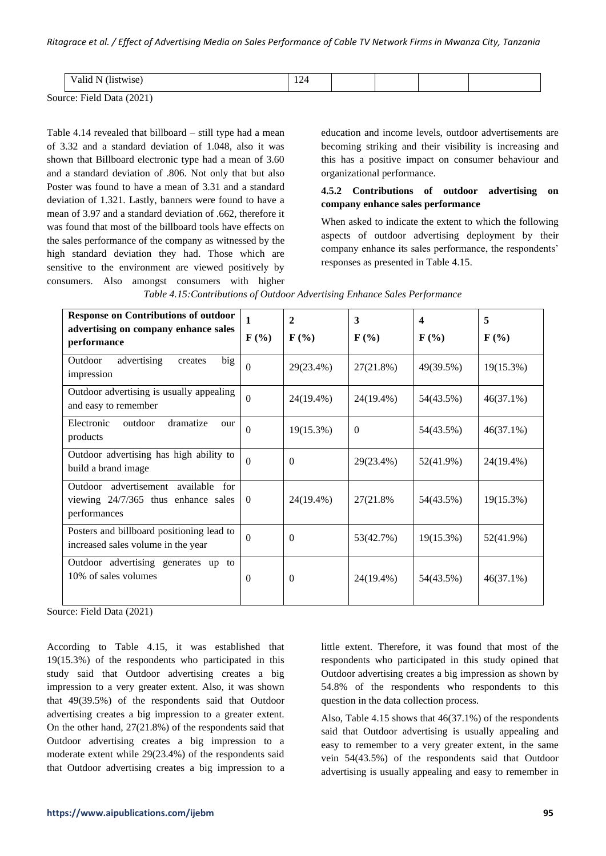| <br>.                          | $\sim$<br>--- |  |  |
|--------------------------------|---------------|--|--|
| $1.11 \text{ N} \cdot 10^{10}$ |               |  |  |

Table 4.14 revealed that billboard – still type had a mean of 3.32 and a standard deviation of 1.048, also it was shown that Billboard electronic type had a mean of 3.60 and a standard deviation of .806. Not only that but also Poster was found to have a mean of 3.31 and a standard deviation of 1.321. Lastly, banners were found to have a mean of 3.97 and a standard deviation of .662, therefore it was found that most of the billboard tools have effects on the sales performance of the company as witnessed by the high standard deviation they had. Those which are sensitive to the environment are viewed positively by consumers. Also amongst consumers with higher education and income levels, outdoor advertisements are becoming striking and their visibility is increasing and this has a positive impact on consumer behaviour and organizational performance.

# **4.5.2 Contributions of outdoor advertising on company enhance sales performance**

When asked to indicate the extent to which the following aspects of outdoor advertising deployment by their company enhance its sales performance, the respondents' responses as presented in Table 4.15.

| <b>Response on Contributions of outdoor</b><br>advertising on company enhance sales<br>performance | 1<br>$F(\%)$ | $\mathbf{2}$<br>$F(\%)$ | 3<br>$\mathbf{F}$ (%) | $\boldsymbol{4}$<br>$\mathbf{F}(\mathcal{V}_0)$ | 5<br>$\mathbf{F}(\mathcal{V}_0)$ |
|----------------------------------------------------------------------------------------------------|--------------|-------------------------|-----------------------|-------------------------------------------------|----------------------------------|
| advertising<br>Outdoor<br>big<br>creates<br>impression                                             | $\Omega$     | 29(23.4%)               | 27(21.8%)             | 49(39.5%)                                       | 19(15.3%)                        |
| Outdoor advertising is usually appealing<br>and easy to remember                                   | $\Omega$     | 24(19.4%)               | 24(19.4%)             | 54(43.5%)                                       | $46(37.1\%)$                     |
| Electronic<br>outdoor<br>dramatize<br>our<br>products                                              | $\Omega$     | 19(15.3%)               | $\Omega$              | 54(43.5%)                                       | $46(37.1\%)$                     |
| Outdoor advertising has high ability to<br>build a brand image                                     | $\Omega$     | $\theta$                | 29(23.4%)             | 52(41.9%)                                       | 24(19.4%)                        |
| Outdoor advertisement<br>available<br>for<br>viewing 24/7/365 thus enhance sales<br>performances   | $\Omega$     | 24(19.4%)               | 27(21.8%)             | 54(43.5%)                                       | 19(15.3%)                        |
| Posters and billboard positioning lead to<br>increased sales volume in the year                    | $\Omega$     | $\theta$                | 53(42.7%)             | 19(15.3%)                                       | 52(41.9%)                        |
| Outdoor advertising generates up to<br>10% of sales volumes                                        | $\Omega$     | $\theta$                | 24(19.4%)             | 54(43.5%)                                       | $46(37.1\%)$                     |

|  |  | Table 4.15: Contributions of Outdoor Advertising Enhance Sales Performance |
|--|--|----------------------------------------------------------------------------|
|--|--|----------------------------------------------------------------------------|

Source: Field Data (2021)

According to Table 4.15, it was established that 19(15.3%) of the respondents who participated in this study said that Outdoor advertising creates a big impression to a very greater extent. Also, it was shown that 49(39.5%) of the respondents said that Outdoor advertising creates a big impression to a greater extent. On the other hand, 27(21.8%) of the respondents said that Outdoor advertising creates a big impression to a moderate extent while 29(23.4%) of the respondents said that Outdoor advertising creates a big impression to a little extent. Therefore, it was found that most of the respondents who participated in this study opined that Outdoor advertising creates a big impression as shown by 54.8% of the respondents who respondents to this question in the data collection process.

Also, Table 4.15 shows that 46(37.1%) of the respondents said that Outdoor advertising is usually appealing and easy to remember to a very greater extent, in the same vein 54(43.5%) of the respondents said that Outdoor advertising is usually appealing and easy to remember in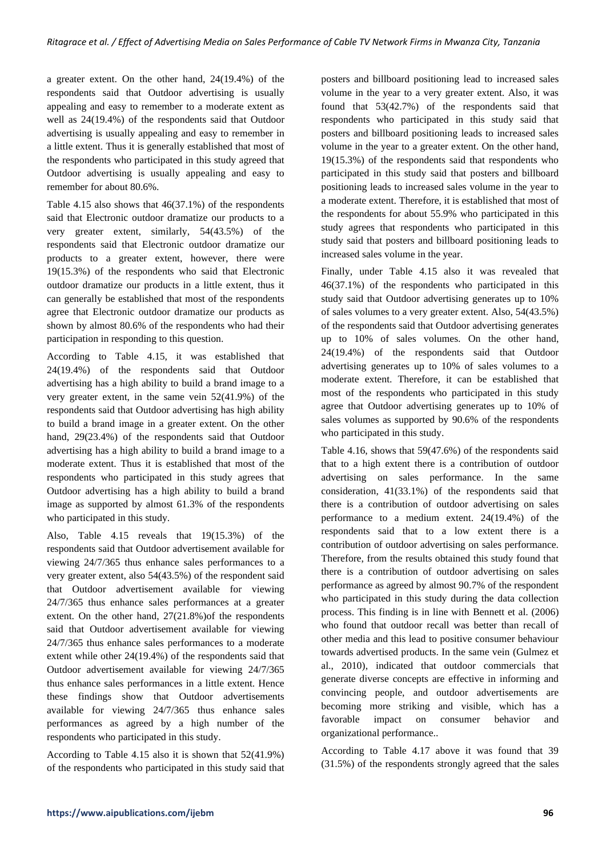a greater extent. On the other hand, 24(19.4%) of the respondents said that Outdoor advertising is usually appealing and easy to remember to a moderate extent as well as 24(19.4%) of the respondents said that Outdoor advertising is usually appealing and easy to remember in a little extent. Thus it is generally established that most of the respondents who participated in this study agreed that Outdoor advertising is usually appealing and easy to remember for about 80.6%.

Table 4.15 also shows that 46(37.1%) of the respondents said that Electronic outdoor dramatize our products to a very greater extent, similarly, 54(43.5%) of the respondents said that Electronic outdoor dramatize our products to a greater extent, however, there were 19(15.3%) of the respondents who said that Electronic outdoor dramatize our products in a little extent, thus it can generally be established that most of the respondents agree that Electronic outdoor dramatize our products as shown by almost 80.6% of the respondents who had their participation in responding to this question.

According to Table 4.15, it was established that 24(19.4%) of the respondents said that Outdoor advertising has a high ability to build a brand image to a very greater extent, in the same vein 52(41.9%) of the respondents said that Outdoor advertising has high ability to build a brand image in a greater extent. On the other hand, 29(23.4%) of the respondents said that Outdoor advertising has a high ability to build a brand image to a moderate extent. Thus it is established that most of the respondents who participated in this study agrees that Outdoor advertising has a high ability to build a brand image as supported by almost 61.3% of the respondents who participated in this study.

Also, Table 4.15 reveals that 19(15.3%) of the respondents said that Outdoor advertisement available for viewing 24/7/365 thus enhance sales performances to a very greater extent, also 54(43.5%) of the respondent said that Outdoor advertisement available for viewing 24/7/365 thus enhance sales performances at a greater extent. On the other hand, 27(21.8%)of the respondents said that Outdoor advertisement available for viewing 24/7/365 thus enhance sales performances to a moderate extent while other 24(19.4%) of the respondents said that Outdoor advertisement available for viewing 24/7/365 thus enhance sales performances in a little extent. Hence these findings show that Outdoor advertisements available for viewing 24/7/365 thus enhance sales performances as agreed by a high number of the respondents who participated in this study.

According to Table 4.15 also it is shown that 52(41.9%) of the respondents who participated in this study said that

posters and billboard positioning lead to increased sales volume in the year to a very greater extent. Also, it was found that 53(42.7%) of the respondents said that respondents who participated in this study said that posters and billboard positioning leads to increased sales volume in the year to a greater extent. On the other hand, 19(15.3%) of the respondents said that respondents who participated in this study said that posters and billboard positioning leads to increased sales volume in the year to a moderate extent. Therefore, it is established that most of the respondents for about 55.9% who participated in this study agrees that respondents who participated in this study said that posters and billboard positioning leads to increased sales volume in the year.

Finally, under Table 4.15 also it was revealed that 46(37.1%) of the respondents who participated in this study said that Outdoor advertising generates up to 10% of sales volumes to a very greater extent. Also, 54(43.5%) of the respondents said that Outdoor advertising generates up to 10% of sales volumes. On the other hand, 24(19.4%) of the respondents said that Outdoor advertising generates up to 10% of sales volumes to a moderate extent. Therefore, it can be established that most of the respondents who participated in this study agree that Outdoor advertising generates up to 10% of sales volumes as supported by 90.6% of the respondents who participated in this study.

Table 4.16, shows that 59(47.6%) of the respondents said that to a high extent there is a contribution of outdoor advertising on sales performance. In the same consideration, 41(33.1%) of the respondents said that there is a contribution of outdoor advertising on sales performance to a medium extent. 24(19.4%) of the respondents said that to a low extent there is a contribution of outdoor advertising on sales performance. Therefore, from the results obtained this study found that there is a contribution of outdoor advertising on sales performance as agreed by almost 90.7% of the respondent who participated in this study during the data collection process. This finding is in line with Bennett et al. (2006) who found that outdoor recall was better than recall of other media and this lead to positive consumer behaviour towards advertised products. In the same vein (Gulmez et al., 2010), indicated that outdoor commercials that generate diverse concepts are effective in informing and convincing people, and outdoor advertisements are becoming more striking and visible, which has a favorable impact on consumer behavior and organizational performance..

According to Table 4.17 above it was found that 39 (31.5%) of the respondents strongly agreed that the sales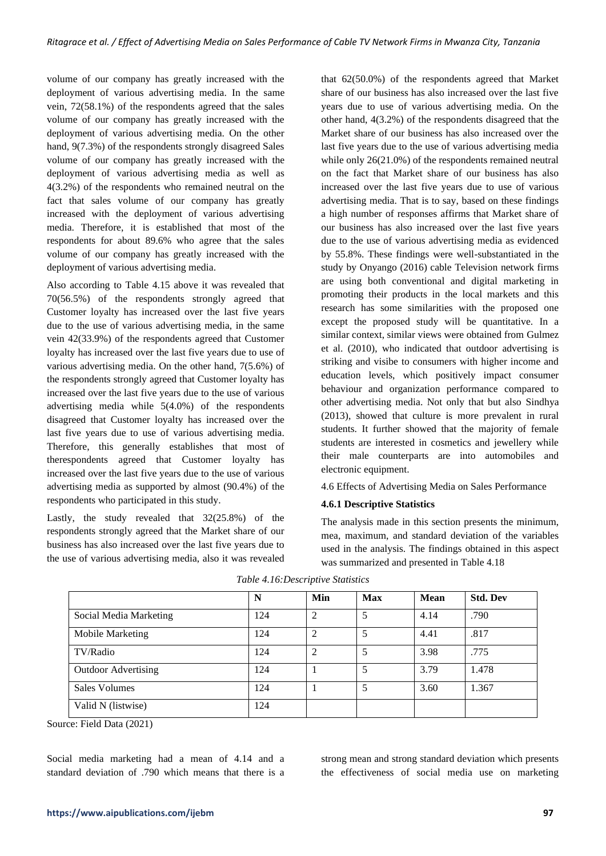volume of our company has greatly increased with the deployment of various advertising media. In the same vein, 72(58.1%) of the respondents agreed that the sales volume of our company has greatly increased with the deployment of various advertising media. On the other hand, 9(7.3%) of the respondents strongly disagreed Sales volume of our company has greatly increased with the deployment of various advertising media as well as 4(3.2%) of the respondents who remained neutral on the fact that sales volume of our company has greatly increased with the deployment of various advertising media. Therefore, it is established that most of the respondents for about 89.6% who agree that the sales volume of our company has greatly increased with the deployment of various advertising media.

Also according to Table 4.15 above it was revealed that 70(56.5%) of the respondents strongly agreed that Customer loyalty has increased over the last five years due to the use of various advertising media, in the same vein 42(33.9%) of the respondents agreed that Customer loyalty has increased over the last five years due to use of various advertising media. On the other hand, 7(5.6%) of the respondents strongly agreed that Customer loyalty has increased over the last five years due to the use of various advertising media while 5(4.0%) of the respondents disagreed that Customer loyalty has increased over the last five years due to use of various advertising media. Therefore, this generally establishes that most of therespondents agreed that Customer loyalty has increased over the last five years due to the use of various advertising media as supported by almost (90.4%) of the respondents who participated in this study.

Lastly, the study revealed that 32(25.8%) of the respondents strongly agreed that the Market share of our business has also increased over the last five years due to the use of various advertising media, also it was revealed that 62(50.0%) of the respondents agreed that Market share of our business has also increased over the last five years due to use of various advertising media. On the other hand, 4(3.2%) of the respondents disagreed that the Market share of our business has also increased over the last five years due to the use of various advertising media while only 26(21.0%) of the respondents remained neutral on the fact that Market share of our business has also increased over the last five years due to use of various advertising media. That is to say, based on these findings a high number of responses affirms that Market share of our business has also increased over the last five years due to the use of various advertising media as evidenced by 55.8%. These findings were well-substantiated in the study by Onyango (2016) cable Television network firms are using both conventional and digital marketing in promoting their products in the local markets and this research has some similarities with the proposed one except the proposed study will be quantitative. In a similar context, similar views were obtained from Gulmez et al. (2010), who indicated that outdoor advertising is striking and visibe to consumers with higher income and education levels, which positively impact consumer behaviour and organization performance compared to other advertising media. Not only that but also Sindhya (2013), showed that culture is more prevalent in rural students. It further showed that the majority of female students are interested in cosmetics and jewellery while their male counterparts are into automobiles and electronic equipment.

4.6 Effects of Advertising Media on Sales Performance

## **4.6.1 Descriptive Statistics**

The analysis made in this section presents the minimum, mea, maximum, and standard deviation of the variables used in the analysis. The findings obtained in this aspect was summarized and presented in Table 4.18

|                            | N   | Min            | <b>Max</b> | <b>Mean</b> | <b>Std. Dev</b> |
|----------------------------|-----|----------------|------------|-------------|-----------------|
| Social Media Marketing     | 124 | 2              |            | 4.14        | .790            |
| Mobile Marketing           | 124 | $\overline{2}$ |            | 4.41        | .817            |
| TV/Radio                   | 124 | $\overline{2}$ | 5          | 3.98        | .775            |
| <b>Outdoor Advertising</b> | 124 |                | 5          | 3.79        | 1.478           |
| <b>Sales Volumes</b>       | 124 |                |            | 3.60        | 1.367           |
| Valid N (listwise)         | 124 |                |            |             |                 |

*Table 4.16:Descriptive Statistics*

Source: Field Data (2021)

Social media marketing had a mean of 4.14 and a standard deviation of .790 which means that there is a strong mean and strong standard deviation which presents the effectiveness of social media use on marketing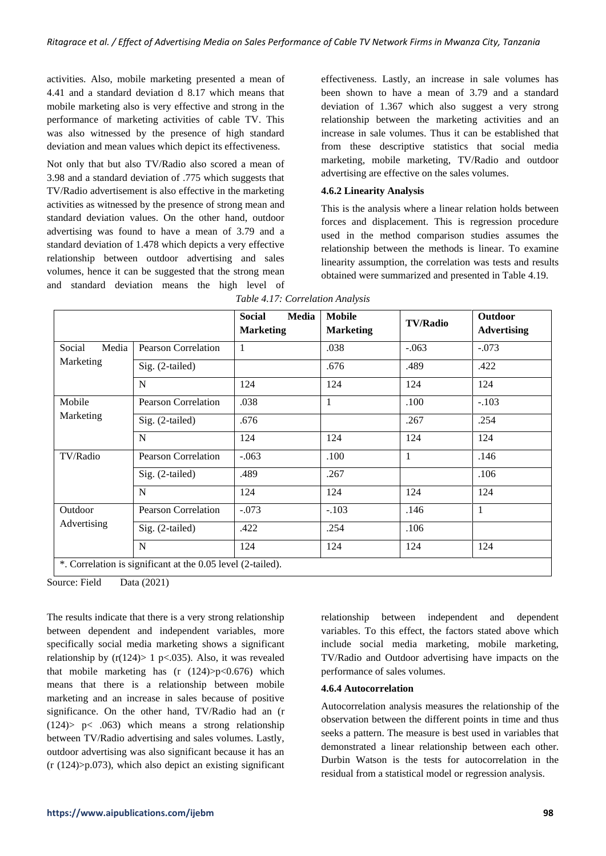activities. Also, mobile marketing presented a mean of 4.41 and a standard deviation d 8.17 which means that mobile marketing also is very effective and strong in the performance of marketing activities of cable TV. This was also witnessed by the presence of high standard deviation and mean values which depict its effectiveness.

Not only that but also TV/Radio also scored a mean of 3.98 and a standard deviation of .775 which suggests that TV/Radio advertisement is also effective in the marketing activities as witnessed by the presence of strong mean and standard deviation values. On the other hand, outdoor advertising was found to have a mean of 3.79 and a standard deviation of 1.478 which depicts a very effective relationship between outdoor advertising and sales volumes, hence it can be suggested that the strong mean and standard deviation means the high level of effectiveness. Lastly, an increase in sale volumes has been shown to have a mean of 3.79 and a standard deviation of 1.367 which also suggest a very strong relationship between the marketing activities and an increase in sale volumes. Thus it can be established that from these descriptive statistics that social media marketing, mobile marketing, TV/Radio and outdoor advertising are effective on the sales volumes.

## **4.6.2 Linearity Analysis**

This is the analysis where a linear relation holds between forces and displacement. This is regression procedure used in the method comparison studies assumes the relationship between the methods is linear. To examine linearity assumption, the correlation was tests and results obtained were summarized and presented in Table 4.19.

|                 |                                                             | <b>Social</b><br><b>Media</b><br><b>Marketing</b> | <b>Mobile</b><br><b>Marketing</b> | <b>TV/Radio</b> | <b>Outdoor</b><br><b>Advertising</b> |
|-----------------|-------------------------------------------------------------|---------------------------------------------------|-----------------------------------|-----------------|--------------------------------------|
| Media<br>Social | <b>Pearson Correlation</b>                                  | 1                                                 | .038                              | $-.063$         | $-.073$                              |
| Marketing       | Sig. (2-tailed)                                             |                                                   | .676                              | .489            | .422                                 |
|                 | N                                                           | 124                                               | 124                               | 124             | 124                                  |
| Mobile          | Pearson Correlation                                         | .038                                              | 1                                 | .100            | $-.103$                              |
| Marketing       | Sig. (2-tailed)                                             | .676                                              |                                   | .267            | .254                                 |
|                 | N                                                           | 124                                               | 124                               | 124             | 124                                  |
| TV/Radio        | <b>Pearson Correlation</b>                                  | $-.063$                                           | .100                              | 1               | .146                                 |
|                 | Sig. (2-tailed)                                             | .489                                              | .267                              |                 | .106                                 |
|                 | N                                                           | 124                                               | 124                               | 124             | 124                                  |
| Outdoor         | <b>Pearson Correlation</b>                                  | $-.073$                                           | $-.103$                           | .146            | $\mathbf{1}$                         |
| Advertising     | Sig. (2-tailed)                                             | .422                                              | .254                              | .106            |                                      |
|                 | N                                                           | 124                                               | 124                               | 124             | 124                                  |
|                 | *. Correlation is significant at the 0.05 level (2-tailed). |                                                   |                                   |                 |                                      |

*Table 4.17: Correlation Analysis*

Source: Field Data (2021)

The results indicate that there is a very strong relationship between dependent and independent variables, more specifically social media marketing shows a significant relationship by  $(r(124) > 1$  p<.035). Also, it was revealed that mobile marketing has  $(r (124))p<0.676$  which means that there is a relationship between mobile marketing and an increase in sales because of positive significance. On the other hand, TV/Radio had an (r  $(124)$  p < .063) which means a strong relationship between TV/Radio advertising and sales volumes. Lastly, outdoor advertising was also significant because it has an  $(r (124)$  $> p.073$ ), which also depict an existing significant relationship between independent and dependent variables. To this effect, the factors stated above which include social media marketing, mobile marketing, TV/Radio and Outdoor advertising have impacts on the performance of sales volumes.

## **4.6.4 Autocorrelation**

Autocorrelation analysis measures the relationship of the observation between the different points in time and thus seeks a pattern. The measure is best used in variables that demonstrated a linear relationship between each other. Durbin Watson is the tests for autocorrelation in the residual from a statistical model or regression analysis.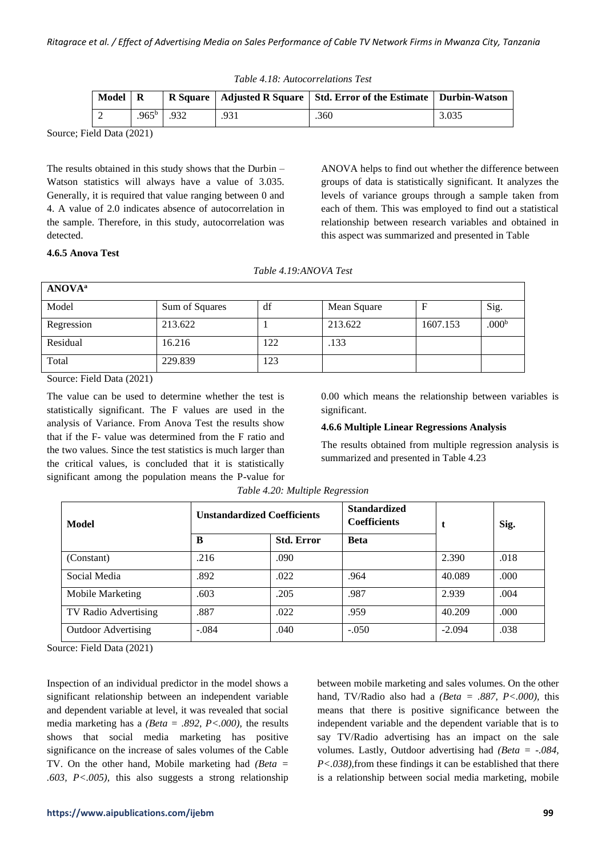| Table 4.18: Autocorrelations Test |  |  |  |
|-----------------------------------|--|--|--|
|-----------------------------------|--|--|--|

| Model |                   |      |     | R Square   Adjusted R Square   Std. Error of the Estimate   Durbin-Watson |       |
|-------|-------------------|------|-----|---------------------------------------------------------------------------|-------|
|       | .965 <sup>b</sup> | .932 | 931 | .360                                                                      | 3.035 |

The results obtained in this study shows that the Durbin – Watson statistics will always have a value of 3.035. Generally, it is required that value ranging between 0 and 4. A value of 2.0 indicates absence of autocorrelation in the sample. Therefore, in this study, autocorrelation was detected.

ANOVA helps to find out whether the difference between groups of data is statistically significant. It analyzes the levels of variance groups through a sample taken from each of them. This was employed to find out a statistical relationship between research variables and obtained in this aspect was summarized and presented in Table

#### **4.6.5 Anova Test**

|  | Table 4.19:ANOVA Test |  |
|--|-----------------------|--|
|--|-----------------------|--|

| <b>ANOVA</b> <sup>a</sup>                                                                                                                                                                                                                                                                                                                    |                |     |             |          |                   |  |
|----------------------------------------------------------------------------------------------------------------------------------------------------------------------------------------------------------------------------------------------------------------------------------------------------------------------------------------------|----------------|-----|-------------|----------|-------------------|--|
| Model                                                                                                                                                                                                                                                                                                                                        | Sum of Squares | df  | Mean Square |          | Sig.              |  |
| Regression                                                                                                                                                                                                                                                                                                                                   | 213.622        |     | 213.622     | 1607.153 | .000 <sup>b</sup> |  |
| Residual                                                                                                                                                                                                                                                                                                                                     | 16.216         | 122 | .133        |          |                   |  |
| Total                                                                                                                                                                                                                                                                                                                                        | 229.839        | 123 |             |          |                   |  |
| $\sim$<br>$\mathbf{r}$ $\mathbf{r}$ $\mathbf{r}$ $\mathbf{r}$ $\mathbf{r}$ $\mathbf{r}$ $\mathbf{r}$ $\mathbf{r}$ $\mathbf{r}$ $\mathbf{r}$ $\mathbf{r}$ $\mathbf{r}$ $\mathbf{r}$ $\mathbf{r}$ $\mathbf{r}$ $\mathbf{r}$ $\mathbf{r}$ $\mathbf{r}$ $\mathbf{r}$ $\mathbf{r}$ $\mathbf{r}$ $\mathbf{r}$ $\mathbf{r}$ $\mathbf{r}$ $\mathbf{$ |                |     |             |          |                   |  |

Source: Field Data (2021)

The value can be used to determine whether the test is statistically significant. The F values are used in the analysis of Variance. From Anova Test the results show that if the F- value was determined from the F ratio and the two values. Since the test statistics is much larger than the critical values, is concluded that it is statistically significant among the population means the P-value for 0.00 which means the relationship between variables is significant.

## **4.6.6 Multiple Linear Regressions Analysis**

The results obtained from multiple regression analysis is summarized and presented in Table 4.23

| Model                      | <b>Unstandardized Coefficients</b> |                   | <b>Standardized</b><br><b>Coefficients</b> |          | Sig. |
|----------------------------|------------------------------------|-------------------|--------------------------------------------|----------|------|
|                            | B                                  | <b>Std. Error</b> | <b>Beta</b>                                |          |      |
| (Constant)                 | .216                               | .090              |                                            | 2.390    | .018 |
| Social Media               | .892                               | .022              | .964                                       | 40.089   | .000 |
| Mobile Marketing           | .603                               | .205              | .987                                       | 2.939    | .004 |
| TV Radio Advertising       | .887                               | .022              | .959                                       | 40.209   | .000 |
| <b>Outdoor Advertising</b> | $-.084$                            | .040              | $-.050$                                    | $-2.094$ | .038 |

*Table 4.20: Multiple Regression*

Source: Field Data (2021)

Inspection of an individual predictor in the model shows a significant relationship between an independent variable and dependent variable at level, it was revealed that social media marketing has a *(Beta = .892, P<.000),* the results shows that social media marketing has positive significance on the increase of sales volumes of the Cable TV. On the other hand, Mobile marketing had *(Beta = .603, P<.005),* this also suggests a strong relationship

between mobile marketing and sales volumes. On the other hand, TV/Radio also had a *(Beta = .887, P<.000),* this means that there is positive significance between the independent variable and the dependent variable that is to say TV/Radio advertising has an impact on the sale volumes. Lastly, Outdoor advertising had *(Beta = -.084, P<.038),*from these findings it can be established that there is a relationship between social media marketing, mobile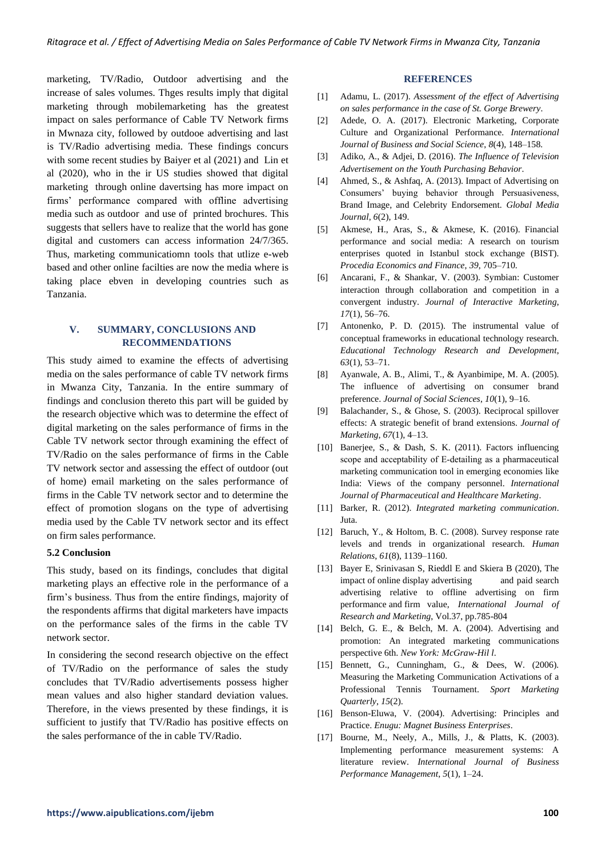marketing, TV/Radio, Outdoor advertising and the increase of sales volumes. Thges results imply that digital marketing through mobilemarketing has the greatest impact on sales performance of Cable TV Network firms in Mwnaza city, followed by outdooe advertising and last is TV/Radio advertising media. These findings concurs with some recent studies by Baiyer et al (2021) and Lin et al (2020), who in the ir US studies showed that digital marketing through online davertsing has more impact on firms' performance compared with offline advertising media such as outdoor and use of printed brochures. This suggests that sellers have to realize that the world has gone digital and customers can access information 24/7/365. Thus, marketing communicatiomn tools that utlize e-web based and other online facilties are now the media where is taking place ebven in developing countries such as Tanzania.

# **V. SUMMARY, CONCLUSIONS AND RECOMMENDATIONS**

This study aimed to examine the effects of advertising media on the sales performance of cable TV network firms in Mwanza City, Tanzania. In the entire summary of findings and conclusion thereto this part will be guided by the research objective which was to determine the effect of digital marketing on the sales performance of firms in the Cable TV network sector through examining the effect of TV/Radio on the sales performance of firms in the Cable TV network sector and assessing the effect of outdoor (out of home) email marketing on the sales performance of firms in the Cable TV network sector and to determine the effect of promotion slogans on the type of advertising media used by the Cable TV network sector and its effect on firm sales performance.

#### **5.2 Conclusion**

This study, based on its findings, concludes that digital marketing plays an effective role in the performance of a firm's business. Thus from the entire findings, majority of the respondents affirms that digital marketers have impacts on the performance sales of the firms in the cable TV network sector.

In considering the second research objective on the effect of TV/Radio on the performance of sales the study concludes that TV/Radio advertisements possess higher mean values and also higher standard deviation values. Therefore, in the views presented by these findings, it is sufficient to justify that TV/Radio has positive effects on the sales performance of the in cable TV/Radio.

#### **REFERENCES**

- [1] Adamu, L. (2017). *Assessment of the effect of Advertising on sales performance in the case of St. Gorge Brewery*.
- [2] Adede, O. A. (2017). Electronic Marketing, Corporate Culture and Organizational Performance. *International Journal of Business and Social Science*, *8*(4), 148–158.
- [3] Adiko, A., & Adjei, D. (2016). *The Influence of Television Advertisement on the Youth Purchasing Behavior*.
- [4] Ahmed, S., & Ashfaq, A. (2013). Impact of Advertising on Consumers' buying behavior through Persuasiveness, Brand Image, and Celebrity Endorsement. *Global Media Journal*, *6*(2), 149.
- [5] Akmese, H., Aras, S., & Akmese, K. (2016). Financial performance and social media: A research on tourism enterprises quoted in Istanbul stock exchange (BIST). *Procedia Economics and Finance*, *39*, 705–710.
- [6] Ancarani, F., & Shankar, V. (2003). Symbian: Customer interaction through collaboration and competition in a convergent industry. *Journal of Interactive Marketing*, *17*(1), 56–76.
- [7] Antonenko, P. D. (2015). The instrumental value of conceptual frameworks in educational technology research. *Educational Technology Research and Development*, *63*(1), 53–71.
- [8] Ayanwale, A. B., Alimi, T., & Ayanbimipe, M. A. (2005). The influence of advertising on consumer brand preference. *Journal of Social Sciences*, *10*(1), 9–16.
- [9] Balachander, S., & Ghose, S. (2003). Reciprocal spillover effects: A strategic benefit of brand extensions. *Journal of Marketing*, *67*(1), 4–13.
- [10] Banerjee, S., & Dash, S. K. (2011). Factors influencing scope and acceptability of E-detailing as a pharmaceutical marketing communication tool in emerging economies like India: Views of the company personnel. *International Journal of Pharmaceutical and Healthcare Marketing*.
- [11] Barker, R. (2012). *Integrated marketing communication*. Juta.
- [12] Baruch, Y., & Holtom, B. C. (2008). Survey response rate levels and trends in organizational research. *Human Relations*, *61*(8), 1139–1160.
- [13] Bayer E, Srinivasan S, Rieddl E and Skiera B (2020), The impact of online display advertising and paid search advertising relative to offline advertising on firm performance and firm value, *International Journal of Research and Marketing*, Vol.37, pp.785-804
- [14] Belch, G. E., & Belch, M. A. (2004). Advertising and promotion: An integrated marketing communications perspective 6th. *New York: McGraw-Hil l*.
- [15] Bennett, G., Cunningham, G., & Dees, W. (2006). Measuring the Marketing Communication Activations of a Professional Tennis Tournament. *Sport Marketing Quarterly*, *15*(2).
- [16] Benson-Eluwa, V. (2004). Advertising: Principles and Practice. *Enugu: Magnet Business Enterprises*.
- [17] Bourne, M., Neely, A., Mills, J., & Platts, K. (2003). Implementing performance measurement systems: A literature review. *International Journal of Business Performance Management*, *5*(1), 1–24.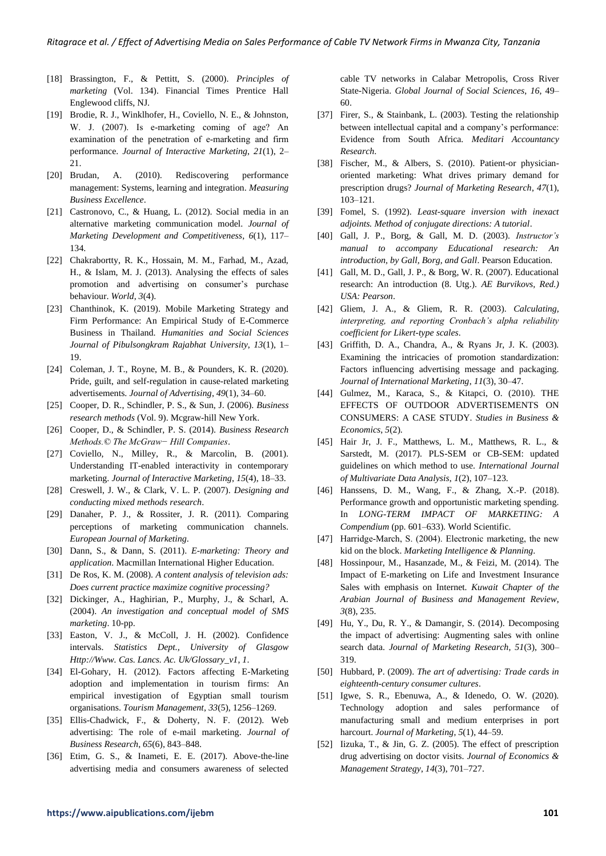- [18] Brassington, F., & Pettitt, S. (2000). *Principles of marketing* (Vol. 134). Financial Times Prentice Hall Englewood cliffs, NJ.
- [19] Brodie, R. J., Winklhofer, H., Coviello, N. E., & Johnston, W. J. (2007). Is e-marketing coming of age? An examination of the penetration of e-marketing and firm performance. *Journal of Interactive Marketing*, *21*(1), 2– 21.
- [20] Brudan, A. (2010). Rediscovering performance management: Systems, learning and integration. *Measuring Business Excellence*.
- [21] Castronovo, C., & Huang, L. (2012). Social media in an alternative marketing communication model. *Journal of Marketing Development and Competitiveness*, *6*(1), 117– 134.
- [22] Chakrabortty, R. K., Hossain, M. M., Farhad, M., Azad, H., & Islam, M. J. (2013). Analysing the effects of sales promotion and advertising on consumer's purchase behaviour. *World*, *3*(4).
- [23] Chanthinok, K. (2019). Mobile Marketing Strategy and Firm Performance: An Empirical Study of E-Commerce Business in Thailand. *Humanities and Social Sciences Journal of Pibulsongkram Rajabhat University*, *13*(1), 1– 19.
- [24] Coleman, J. T., Royne, M. B., & Pounders, K. R. (2020). Pride, guilt, and self-regulation in cause-related marketing advertisements. *Journal of Advertising*, *49*(1), 34–60.
- [25] Cooper, D. R., Schindler, P. S., & Sun, J. (2006). *Business research methods* (Vol. 9). Mcgraw-hill New York.
- [26] Cooper, D., & Schindler, P. S. (2014). *Business Research Methods.© The McGraw− Hill Companies*.
- [27] Coviello, N., Milley, R., & Marcolin, B. (2001). Understanding IT-enabled interactivity in contemporary marketing. *Journal of Interactive Marketing*, *15*(4), 18–33.
- [28] Creswell, J. W., & Clark, V. L. P. (2007). *Designing and conducting mixed methods research*.
- [29] Danaher, P. J., & Rossiter, J. R. (2011). Comparing perceptions of marketing communication channels. *European Journal of Marketing*.
- [30] Dann, S., & Dann, S. (2011). *E-marketing: Theory and application*. Macmillan International Higher Education.
- [31] De Ros, K. M. (2008). *A content analysis of television ads: Does current practice maximize cognitive processing?*
- [32] Dickinger, A., Haghirian, P., Murphy, J., & Scharl, A. (2004). *An investigation and conceptual model of SMS marketing*. 10-pp.
- [33] Easton, V. J., & McColl, J. H. (2002). Confidence intervals. *Statistics Dept., University of Glasgow Http://Www. Cas. Lancs. Ac. Uk/Glossary\_v1*, *1*.
- [34] El-Gohary, H. (2012). Factors affecting E-Marketing adoption and implementation in tourism firms: An empirical investigation of Egyptian small tourism organisations. *Tourism Management*, *33*(5), 1256–1269.
- [35] Ellis-Chadwick, F., & Doherty, N. F. (2012). Web advertising: The role of e-mail marketing. *Journal of Business Research*, *65*(6), 843–848.
- [36] Etim, G. S., & Inameti, E. E. (2017). Above-the-line advertising media and consumers awareness of selected

cable TV networks in Calabar Metropolis, Cross River State-Nigeria. *Global Journal of Social Sciences*, *16*, 49– 60.

- [37] Firer, S., & Stainbank, L. (2003). Testing the relationship between intellectual capital and a company's performance: Evidence from South Africa. *Meditari Accountancy Research*.
- [38] Fischer, M., & Albers, S. (2010). Patient-or physicianoriented marketing: What drives primary demand for prescription drugs? *Journal of Marketing Research*, *47*(1), 103–121.
- [39] Fomel, S. (1992). *Least-square inversion with inexact adjoints. Method of conjugate directions: A tutorial*.
- [40] Gall, J. P., Borg, & Gall, M. D. (2003). *Instructor's manual to accompany Educational research: An introduction, by Gall, Borg, and Gall*. Pearson Education.
- [41] Gall, M. D., Gall, J. P., & Borg, W. R. (2007). Educational research: An introduction (8. Utg.). *AE Burvikovs, Red.) USA: Pearson*.
- [42] Gliem, J. A., & Gliem, R. R. (2003). *Calculating, interpreting, and reporting Cronbach's alpha reliability coefficient for Likert-type scales*.
- [43] Griffith, D. A., Chandra, A., & Ryans Jr, J. K. (2003). Examining the intricacies of promotion standardization: Factors influencing advertising message and packaging. *Journal of International Marketing*, *11*(3), 30–47.
- [44] Gulmez, M., Karaca, S., & Kitapci, O. (2010). THE EFFECTS OF OUTDOOR ADVERTISEMENTS ON CONSUMERS: A CASE STUDY. *Studies in Business & Economics*, *5*(2).
- [45] Hair Jr, J. F., Matthews, L. M., Matthews, R. L., & Sarstedt, M. (2017). PLS-SEM or CB-SEM: updated guidelines on which method to use. *International Journal of Multivariate Data Analysis*, *1*(2), 107–123.
- [46] Hanssens, D. M., Wang, F., & Zhang, X.-P. (2018). Performance growth and opportunistic marketing spending. In *LONG-TERM IMPACT OF MARKETING: A Compendium* (pp. 601–633). World Scientific.
- [47] Harridge-March, S. (2004). Electronic marketing, the new kid on the block. *Marketing Intelligence & Planning*.
- [48] Hossinpour, M., Hasanzade, M., & Feizi, M. (2014). The Impact of E-marketing on Life and Investment Insurance Sales with emphasis on Internet. *Kuwait Chapter of the Arabian Journal of Business and Management Review*, *3*(8), 235.
- [49] Hu, Y., Du, R. Y., & Damangir, S. (2014). Decomposing the impact of advertising: Augmenting sales with online search data. *Journal of Marketing Research*, *51*(3), 300– 319.
- [50] Hubbard, P. (2009). *The art of advertising: Trade cards in eighteenth-century consumer cultures*.
- [51] Igwe, S. R., Ebenuwa, A., & Idenedo, O. W. (2020). Technology adoption and sales performance of manufacturing small and medium enterprises in port harcourt. *Journal of Marketing*, *5*(1), 44–59.
- [52] Iizuka, T., & Jin, G. Z. (2005). The effect of prescription drug advertising on doctor visits. *Journal of Economics & Management Strategy*, *14*(3), 701–727.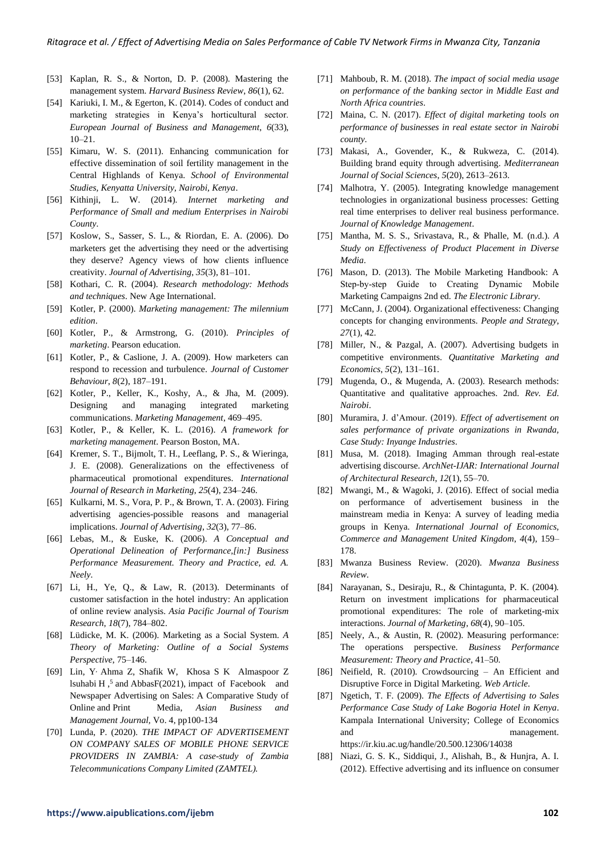- [53] Kaplan, R. S., & Norton, D. P. (2008). Mastering the management system. *Harvard Business Review*, *86*(1), 62.
- [54] Kariuki, I. M., & Egerton, K. (2014). Codes of conduct and marketing strategies in Kenya's horticultural sector. *European Journal of Business and Management*, *6*(33), 10–21.
- [55] Kimaru, W. S. (2011). Enhancing communication for effective dissemination of soil fertility management in the Central Highlands of Kenya. *School of Environmental Studies, Kenyatta University, Nairobi, Kenya*.
- [56] Kithinji, L. W. (2014). *Internet marketing and Performance of Small and medium Enterprises in Nairobi County*.
- [57] Koslow, S., Sasser, S. L., & Riordan, E. A. (2006). Do marketers get the advertising they need or the advertising they deserve? Agency views of how clients influence creativity. *Journal of Advertising*, *35*(3), 81–101.
- [58] Kothari, C. R. (2004). *Research methodology: Methods and techniques*. New Age International.
- [59] Kotler, P. (2000). *Marketing management: The milennium edition*.
- [60] Kotler, P., & Armstrong, G. (2010). *Principles of marketing*. Pearson education.
- [61] Kotler, P., & Caslione, J. A. (2009). How marketers can respond to recession and turbulence. *Journal of Customer Behaviour*, *8*(2), 187–191.
- [62] Kotler, P., Keller, K., Koshy, A., & Jha, M. (2009). Designing and managing integrated marketing communications. *Marketing Management*, 469–495.
- [63] Kotler, P., & Keller, K. L. (2016). *A framework for marketing management*. Pearson Boston, MA.
- [64] Kremer, S. T., Bijmolt, T. H., Leeflang, P. S., & Wieringa, J. E. (2008). Generalizations on the effectiveness of pharmaceutical promotional expenditures. *International Journal of Research in Marketing*, *25*(4), 234–246.
- [65] Kulkarni, M. S., Vora, P. P., & Brown, T. A. (2003). Firing advertising agencies-possible reasons and managerial implications. *Journal of Advertising*, *32*(3), 77–86.
- [66] Lebas, M., & Euske, K. (2006). *A Conceptual and Operational Delineation of Performance,[in:] Business Performance Measurement. Theory and Practice, ed. A. Neely*.
- [67] Li, H., Ye, Q., & Law, R. (2013). Determinants of customer satisfaction in the hotel industry: An application of online review analysis. *Asia Pacific Journal of Tourism Research*, *18*(7), 784–802.
- [68] Lüdicke, M. K. (2006). Marketing as a Social System. *A Theory of Marketing: Outline of a Social Systems Perspective*, 75–146.
- [69] Lin, Y, Ahma Z, Shafik W, Khosa S K Almaspoor Z lsuhabi H,<sup>5</sup> and AbbasF(2021), impact of Facebook and Newspaper Advertising on Sales: A Comparative Study of Online and Print Media, *Asian Business and Management Journal,* Vo. 4, pp100-134
- [70] Lunda, P. (2020). *THE IMPACT OF ADVERTISEMENT ON COMPANY SALES OF MOBILE PHONE SERVICE PROVIDERS IN ZAMBIA: A case-study of Zambia Telecommunications Company Limited (ZAMTEL).*
- [71] Mahboub, R. M. (2018). *The impact of social media usage on performance of the banking sector in Middle East and North Africa countries*.
- [72] Maina, C. N. (2017). *Effect of digital marketing tools on performance of businesses in real estate sector in Nairobi county*.
- [73] Makasi, A., Govender, K., & Rukweza, C. (2014). Building brand equity through advertising. *Mediterranean Journal of Social Sciences*, *5*(20), 2613–2613.
- [74] Malhotra, Y. (2005). Integrating knowledge management technologies in organizational business processes: Getting real time enterprises to deliver real business performance. *Journal of Knowledge Management*.
- [75] Mantha, M. S. S., Srivastava, R., & Phalle, M. (n.d.). *A Study on Effectiveness of Product Placement in Diverse Media*.
- [76] Mason, D. (2013). The Mobile Marketing Handbook: A Step-by-step Guide to Creating Dynamic Mobile Marketing Campaigns 2nd ed. *The Electronic Library*.
- [77] McCann, J. (2004). Organizational effectiveness: Changing concepts for changing environments. *People and Strategy*, *27*(1), 42.
- [78] Miller, N., & Pazgal, A. (2007). Advertising budgets in competitive environments. *Quantitative Marketing and Economics*, *5*(2), 131–161.
- [79] Mugenda, O., & Mugenda, A. (2003). Research methods: Quantitative and qualitative approaches. 2nd. *Rev. Ed. Nairobi*.
- [80] Muramira, J. d'Amour. (2019). *Effect of advertisement on sales performance of private organizations in Rwanda, Case Study: Inyange Industries*.
- [81] Musa, M. (2018). Imaging Amman through real-estate advertising discourse. *ArchNet-IJAR: International Journal of Architectural Research*, *12*(1), 55–70.
- [82] Mwangi, M., & Wagoki, J. (2016). Effect of social media on performance of advertisement business in the mainstream media in Kenya: A survey of leading media groups in Kenya. *International Journal of Economics, Commerce and Management United Kingdom*, *4*(4), 159– 178.
- [83] Mwanza Business Review. (2020). *Mwanza Business Review*.
- [84] Narayanan, S., Desiraju, R., & Chintagunta, P. K. (2004). Return on investment implications for pharmaceutical promotional expenditures: The role of marketing-mix interactions. *Journal of Marketing*, *68*(4), 90–105.
- [85] Neely, A., & Austin, R. (2002). Measuring performance: The operations perspective. *Business Performance Measurement: Theory and Practice*, 41–50.
- [86] Neifield, R. (2010). Crowdsourcing An Efficient and Disruptive Force in Digital Marketing. *Web Article*.
- [87] Ngetich, T. F. (2009). *The Effects of Advertising to Sales Performance Case Study of Lake Bogoria Hotel in Kenya*. Kampala International University; College of Economics and management. https://ir.kiu.ac.ug/handle/20.500.12306/14038
- [88] Niazi, G. S. K., Siddiqui, J., Alishah, B., & Hunjra, A. I. (2012). Effective advertising and its influence on consumer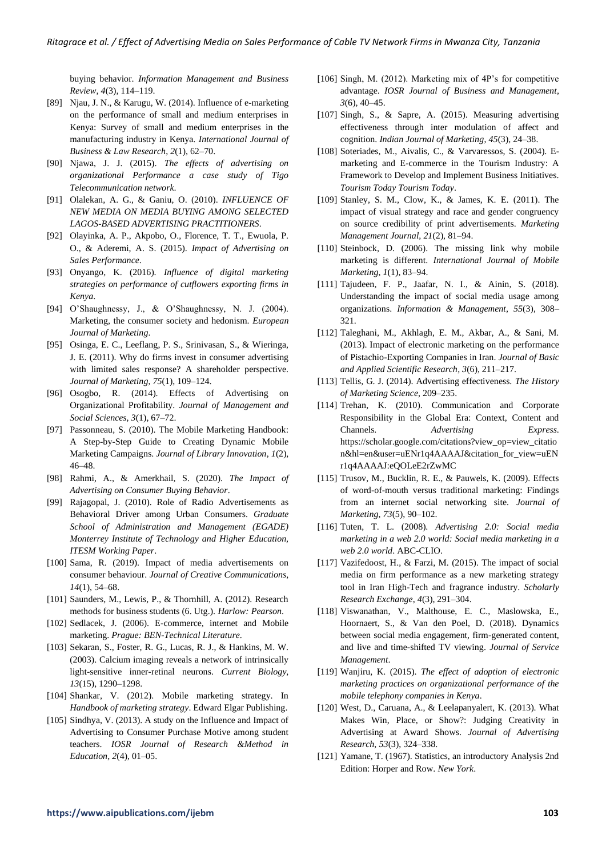buying behavior. *Information Management and Business Review*, *4*(3), 114–119.

- [89] Njau, J. N., & Karugu, W. (2014). Influence of e-marketing on the performance of small and medium enterprises in Kenya: Survey of small and medium enterprises in the manufacturing industry in Kenya. *International Journal of Business & Law Research*, *2*(1), 62–70.
- [90] Njawa, J. J. (2015). *The effects of advertising on organizational Performance a case study of Tigo Telecommunication network*.
- [91] Olalekan, A. G., & Ganiu, O. (2010). *INFLUENCE OF NEW MEDIA ON MEDIA BUYING AMONG SELECTED LAGOS-BASED ADVERTISING PRACTITIONERS*.
- [92] Olayinka, A. P., Akpobo, O., Florence, T. T., Ewuola, P. O., & Aderemi, A. S. (2015). *Impact of Advertising on Sales Performance*.
- [93] Onyango, K. (2016). *Influence of digital marketing strategies on performance of cutflowers exporting firms in Kenya*.
- [94] O'Shaughnessy, J., & O'Shaughnessy, N. J. (2004). Marketing, the consumer society and hedonism. *European Journal of Marketing*.
- [95] Osinga, E. C., Leeflang, P. S., Srinivasan, S., & Wieringa, J. E. (2011). Why do firms invest in consumer advertising with limited sales response? A shareholder perspective. *Journal of Marketing*, *75*(1), 109–124.
- [96] Osogbo, R. (2014). Effects of Advertising on Organizational Profitability. *Journal of Management and Social Sciences*, *3*(1), 67–72.
- [97] Passonneau, S. (2010). The Mobile Marketing Handbook: A Step-by-Step Guide to Creating Dynamic Mobile Marketing Campaigns. *Journal of Library Innovation*, *1*(2), 46–48.
- [98] Rahmi, A., & Amerkhail, S. (2020). *The Impact of Advertising on Consumer Buying Behavior*.
- [99] Rajagopal, J. (2010). Role of Radio Advertisements as Behavioral Driver among Urban Consumers. *Graduate School of Administration and Management (EGADE) Monterrey Institute of Technology and Higher Education, ITESM Working Paper*.
- [100] Sama, R. (2019). Impact of media advertisements on consumer behaviour. *Journal of Creative Communications*, *14*(1), 54–68.
- [101] Saunders, M., Lewis, P., & Thornhill, A. (2012). Research methods for business students (6. Utg.). *Harlow: Pearson*.
- [102] Sedlacek, J. (2006). E-commerce, internet and Mobile marketing. *Prague: BEN-Technical Literature*.
- [103] Sekaran, S., Foster, R. G., Lucas, R. J., & Hankins, M. W. (2003). Calcium imaging reveals a network of intrinsically light-sensitive inner-retinal neurons. *Current Biology*, *13*(15), 1290–1298.
- [104] Shankar, V. (2012). Mobile marketing strategy. In *Handbook of marketing strategy*. Edward Elgar Publishing.
- [105] Sindhya, V. (2013). A study on the Influence and Impact of Advertising to Consumer Purchase Motive among student teachers. *IOSR Journal of Research &Method in Education*, *2*(4), 01–05.
- [106] Singh, M. (2012). Marketing mix of 4P's for competitive advantage. *IOSR Journal of Business and Management*, *3*(6), 40–45.
- [107] Singh, S., & Sapre, A. (2015). Measuring advertising effectiveness through inter modulation of affect and cognition. *Indian Journal of Marketing*, *45*(3), 24–38.
- [108] Soteriades, M., Aivalis, C., & Varvaressos, S. (2004). Emarketing and E-commerce in the Tourism Industry: A Framework to Develop and Implement Business Initiatives. *Tourism Today Tourism Today*.
- [109] Stanley, S. M., Clow, K., & James, K. E. (2011). The impact of visual strategy and race and gender congruency on source credibility of print advertisements. *Marketing Management Journal*, *21*(2), 81–94.
- [110] Steinbock, D. (2006). The missing link why mobile marketing is different. *International Journal of Mobile Marketing*, *1*(1), 83–94.
- [111] Tajudeen, F. P., Jaafar, N. I., & Ainin, S. (2018). Understanding the impact of social media usage among organizations. *Information & Management*, *55*(3), 308– 321.
- [112] Taleghani, M., Akhlagh, E. M., Akbar, A., & Sani, M. (2013). Impact of electronic marketing on the performance of Pistachio-Exporting Companies in Iran. *Journal of Basic and Applied Scientific Research*, *3*(6), 211–217.
- [113] Tellis, G. J. (2014). Advertising effectiveness. *The History of Marketing Science*, 209–235.
- [114] Trehan, K. (2010). Communication and Corporate Responsibility in the Global Era: Context, Content and Channels. *Advertising Express*. https://scholar.google.com/citations?view\_op=view\_citatio n&hl=en&user=uENr1q4AAAAJ&citation\_for\_view=uEN r1q4AAAAJ:eQOLeE2rZwMC
- [115] Trusov, M., Bucklin, R. E., & Pauwels, K. (2009). Effects of word-of-mouth versus traditional marketing: Findings from an internet social networking site. *Journal of Marketing*, *73*(5), 90–102.
- [116] Tuten, T. L. (2008). *Advertising 2.0: Social media marketing in a web 2.0 world: Social media marketing in a web 2.0 world*. ABC-CLIO.
- [117] Vazifedoost, H., & Farzi, M. (2015). The impact of social media on firm performance as a new marketing strategy tool in Iran High-Tech and fragrance industry. *Scholarly Research Exchange*, *4*(3), 291–304.
- [118] Viswanathan, V., Malthouse, E. C., Maslowska, E., Hoornaert, S., & Van den Poel, D. (2018). Dynamics between social media engagement, firm-generated content, and live and time-shifted TV viewing. *Journal of Service Management*.
- [119] Wanjiru, K. (2015). *The effect of adoption of electronic marketing practices on organizational performance of the mobile telephony companies in Kenya*.
- [120] West, D., Caruana, A., & Leelapanyalert, K. (2013). What Makes Win, Place, or Show?: Judging Creativity in Advertising at Award Shows. *Journal of Advertising Research*, *53*(3), 324–338.
- [121] Yamane, T. (1967). Statistics, an introductory Analysis 2nd Edition: Horper and Row. *New York*.